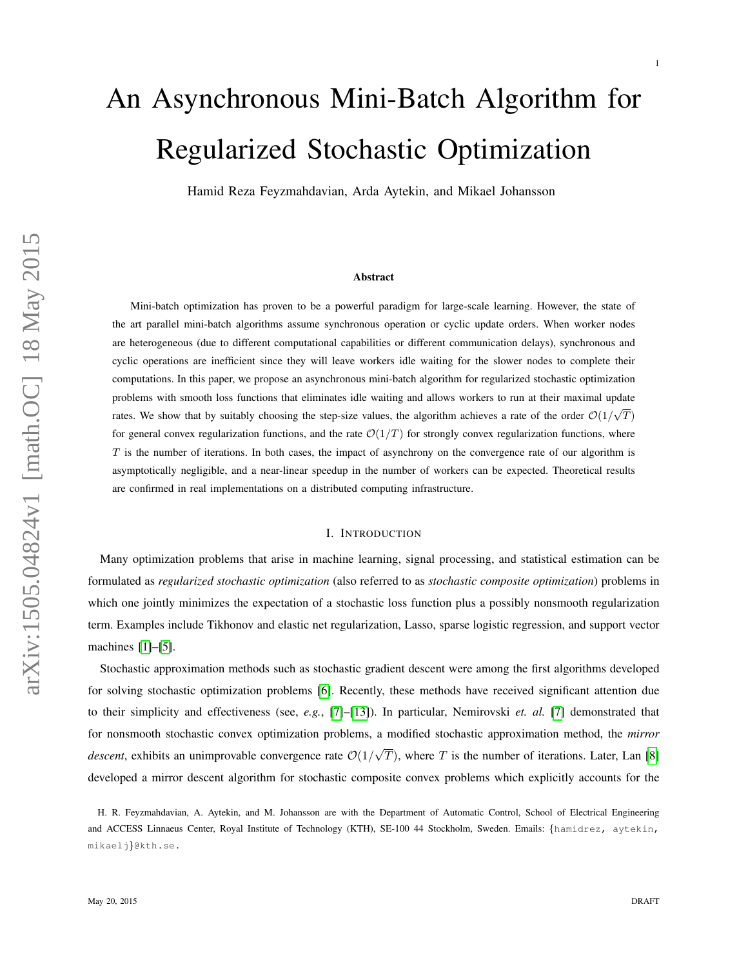# An Asynchronous Mini-Batch Algorithm for Regularized Stochastic Optimization

Hamid Reza Feyzmahdavian, Arda Aytekin, and Mikael Johansson

#### Abstract

Mini-batch optimization has proven to be a powerful paradigm for large-scale learning. However, the state of the art parallel mini-batch algorithms assume synchronous operation or cyclic update orders. When worker nodes are heterogeneous (due to different computational capabilities or different communication delays), synchronous and cyclic operations are inefficient since they will leave workers idle waiting for the slower nodes to complete their computations. In this paper, we propose an asynchronous mini-batch algorithm for regularized stochastic optimization problems with smooth loss functions that eliminates idle waiting and allows workers to run at their maximal update rates. We show that by suitably choosing the step-size values, the algorithm achieves a rate of the order  $O(1/\sqrt{T})$ for general convex regularization functions, and the rate  $\mathcal{O}(1/T)$  for strongly convex regularization functions, where  $T$  is the number of iterations. In both cases, the impact of asynchrony on the convergence rate of our algorithm is asymptotically negligible, and a near-linear speedup in the number of workers can be expected. Theoretical results are confirmed in real implementations on a distributed computing infrastructure.

## I. INTRODUCTION

Many optimization problems that arise in machine learning, signal processing, and statistical estimation can be formulated as *regularized stochastic optimization* (also referred to as *stochastic composite optimization*) problems in which one jointly minimizes the expectation of a stochastic loss function plus a possibly nonsmooth regularization term. Examples include Tikhonov and elastic net regularization, Lasso, sparse logistic regression, and support vector machines [\[1\]](#page-21-0)–[\[5\]](#page-21-1).

Stochastic approximation methods such as stochastic gradient descent were among the first algorithms developed for solving stochastic optimization problems [\[6\]](#page-21-2). Recently, these methods have received significant attention due to their simplicity and effectiveness (see, *e.g.*, [\[7\]](#page-21-3)–[\[13\]](#page-21-4)). In particular, Nemirovski *et. al.* [\[7\]](#page-21-3) demonstrated that for nonsmooth stochastic convex optimization problems, a modified stochastic approximation method, the *mirror descent*, exhibits an unimprovable convergence rate  $O(1)$ √  $T$ ), where  $T$  is the number of iterations. Later, Lan [\[8\]](#page-21-5) developed a mirror descent algorithm for stochastic composite convex problems which explicitly accounts for the

1

H. R. Feyzmahdavian, A. Aytekin, and M. Johansson are with the Department of Automatic Control, School of Electrical Engineering and ACCESS Linnaeus Center, Royal Institute of Technology (KTH), SE-100 44 Stockholm, Sweden. Emails: {hamidrez, aytekin, mikaelj}@kth.se.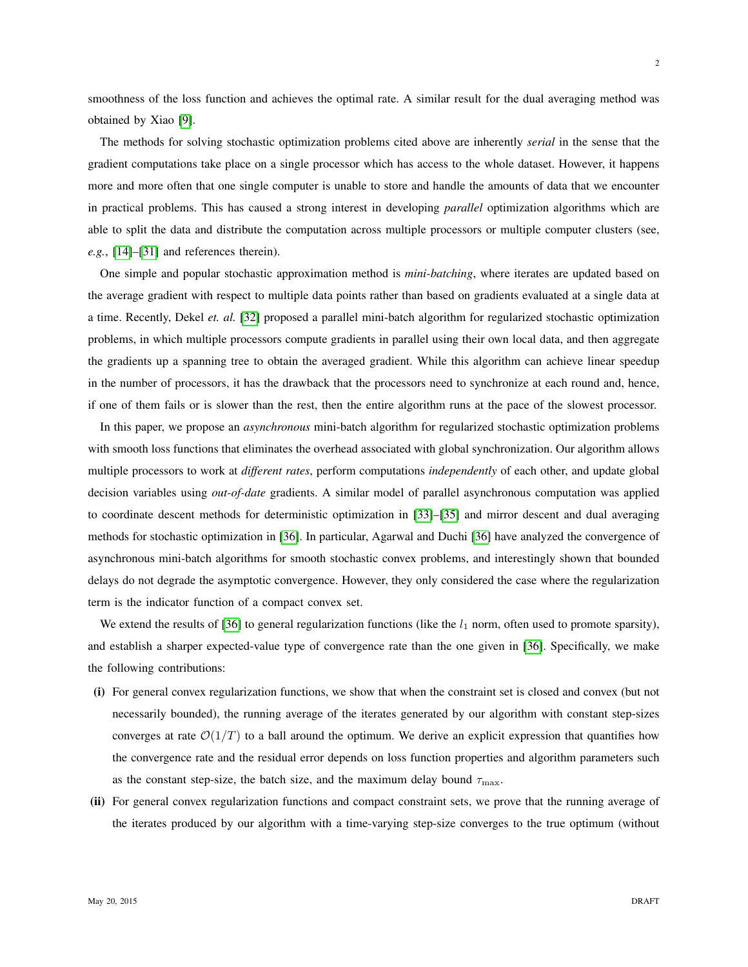smoothness of the loss function and achieves the optimal rate. A similar result for the dual averaging method was obtained by Xiao [\[9\]](#page-21-6).

The methods for solving stochastic optimization problems cited above are inherently *serial* in the sense that the gradient computations take place on a single processor which has access to the whole dataset. However, it happens more and more often that one single computer is unable to store and handle the amounts of data that we encounter in practical problems. This has caused a strong interest in developing *parallel* optimization algorithms which are able to split the data and distribute the computation across multiple processors or multiple computer clusters (see, *e.g.*, [\[14\]](#page-21-7)–[\[31\]](#page-22-0) and references therein).

One simple and popular stochastic approximation method is *mini-batching*, where iterates are updated based on the average gradient with respect to multiple data points rather than based on gradients evaluated at a single data at a time. Recently, Dekel *et. al.* [\[32\]](#page-22-1) proposed a parallel mini-batch algorithm for regularized stochastic optimization problems, in which multiple processors compute gradients in parallel using their own local data, and then aggregate the gradients up a spanning tree to obtain the averaged gradient. While this algorithm can achieve linear speedup in the number of processors, it has the drawback that the processors need to synchronize at each round and, hence, if one of them fails or is slower than the rest, then the entire algorithm runs at the pace of the slowest processor.

In this paper, we propose an *asynchronous* mini-batch algorithm for regularized stochastic optimization problems with smooth loss functions that eliminates the overhead associated with global synchronization. Our algorithm allows multiple processors to work at *different rates*, perform computations *independently* of each other, and update global decision variables using *out-of-date* gradients. A similar model of parallel asynchronous computation was applied to coordinate descent methods for deterministic optimization in [\[33\]](#page-22-2)–[\[35\]](#page-22-3) and mirror descent and dual averaging methods for stochastic optimization in [\[36\]](#page-22-4). In particular, Agarwal and Duchi [\[36\]](#page-22-4) have analyzed the convergence of asynchronous mini-batch algorithms for smooth stochastic convex problems, and interestingly shown that bounded delays do not degrade the asymptotic convergence. However, they only considered the case where the regularization term is the indicator function of a compact convex set.

We extend the results of [\[36\]](#page-22-4) to general regularization functions (like the  $l_1$  norm, often used to promote sparsity), and establish a sharper expected-value type of convergence rate than the one given in [\[36\]](#page-22-4). Specifically, we make the following contributions:

- (i) For general convex regularization functions, we show that when the constraint set is closed and convex (but not necessarily bounded), the running average of the iterates generated by our algorithm with constant step-sizes converges at rate  $\mathcal{O}(1/T)$  to a ball around the optimum. We derive an explicit expression that quantifies how the convergence rate and the residual error depends on loss function properties and algorithm parameters such as the constant step-size, the batch size, and the maximum delay bound  $\tau_{\text{max}}$ .
- (ii) For general convex regularization functions and compact constraint sets, we prove that the running average of the iterates produced by our algorithm with a time-varying step-size converges to the true optimum (without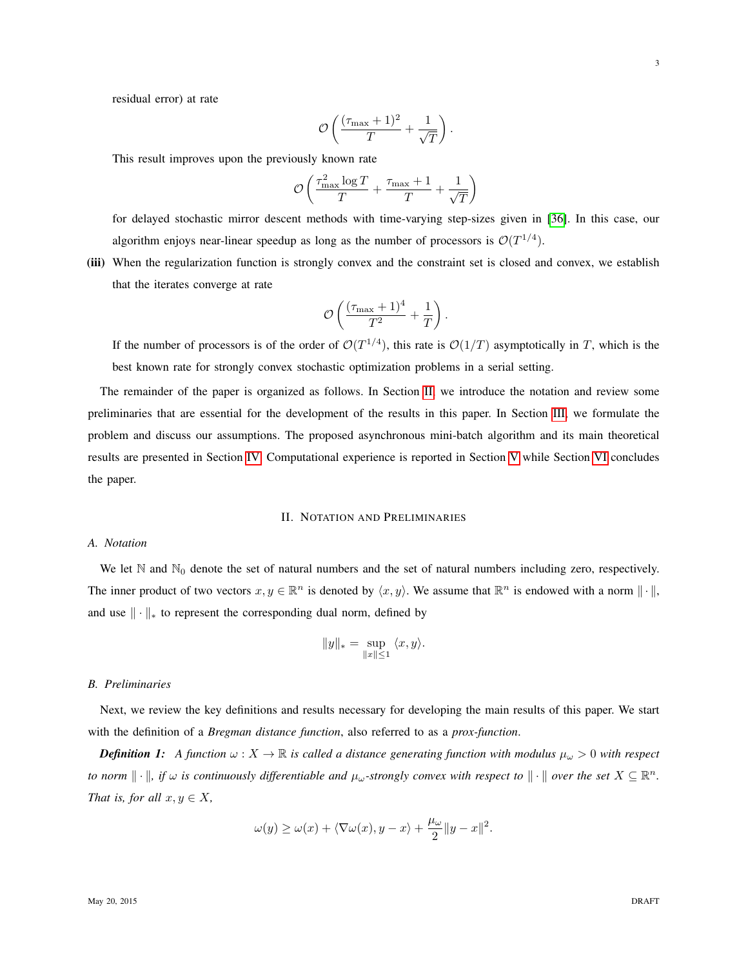residual error) at rate

$$
\mathcal{O}\left(\frac{(\tau_{\max}+1)^2}{T} + \frac{1}{\sqrt{T}}\right).
$$

This result improves upon the previously known rate

$$
\mathcal{O}\left(\frac{\tau_{\max}^2\log T}{T} + \frac{\tau_{\max}+1}{T} + \frac{1}{\sqrt{T}}\right)
$$

for delayed stochastic mirror descent methods with time-varying step-sizes given in [\[36\]](#page-22-4). In this case, our algorithm enjoys near-linear speedup as long as the number of processors is  $\mathcal{O}(T^{1/4})$ .

(iii) When the regularization function is strongly convex and the constraint set is closed and convex, we establish that the iterates converge at rate

$$
\mathcal{O}\left(\frac{(\tau_{\max}+1)^4}{T^2}+\frac{1}{T}\right).
$$

If the number of processors is of the order of  $\mathcal{O}(T^{1/4})$ , this rate is  $\mathcal{O}(1/T)$  asymptotically in T, which is the best known rate for strongly convex stochastic optimization problems in a serial setting.

The remainder of the paper is organized as follows. In Section [II,](#page-2-0) we introduce the notation and review some preliminaries that are essential for the development of the results in this paper. In Section [III,](#page-3-0) we formulate the problem and discuss our assumptions. The proposed asynchronous mini-batch algorithm and its main theoretical results are presented in Section [IV.](#page-5-0) Computational experience is reported in Section [V](#page-11-0) while Section [VI](#page-12-0) concludes the paper.

# II. NOTATION AND PRELIMINARIES

# <span id="page-2-0"></span>*A. Notation*

We let  $\mathbb N$  and  $\mathbb N_0$  denote the set of natural numbers and the set of natural numbers including zero, respectively. The inner product of two vectors  $x, y \in \mathbb{R}^n$  is denoted by  $\langle x, y \rangle$ . We assume that  $\mathbb{R}^n$  is endowed with a norm  $\|\cdot\|$ , and use  $\|\cdot\|_*$  to represent the corresponding dual norm, defined by

$$
||y||_* = \sup_{||x|| \le 1} \langle x, y \rangle.
$$

# *B. Preliminaries*

Next, we review the key definitions and results necessary for developing the main results of this paper. We start with the definition of a *Bregman distance function*, also referred to as a *prox-function*.

*Definition 1:* A function  $\omega$  :  $X \to \mathbb{R}$  is called a distance generating function with modulus  $\mu_\omega > 0$  with respect *to norm*  $\|\cdot\|$ , if  $\omega$  is continuously differentiable and  $\mu_{\omega}$ -strongly convex with respect to  $\|\cdot\|$  over the set  $X \subseteq \mathbb{R}^n$ . *That is, for all*  $x, y \in X$ *,* 

$$
\omega(y) \ge \omega(x) + \langle \nabla \omega(x), y - x \rangle + \frac{\mu_{\omega}}{2} \|y - x\|^2.
$$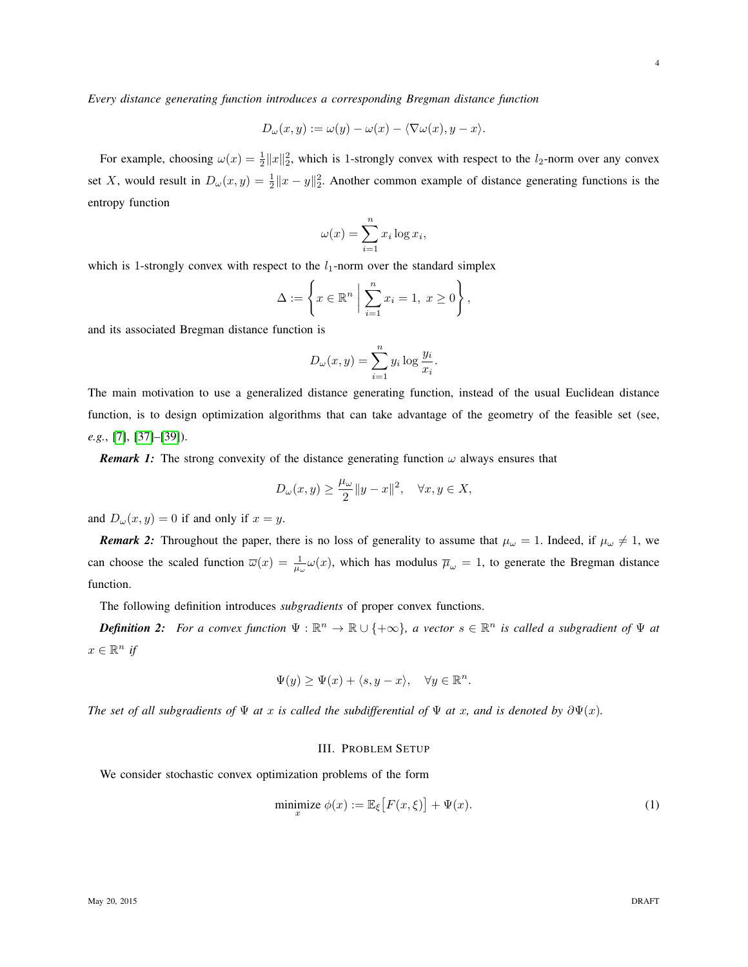*Every distance generating function introduces a corresponding Bregman distance function*

$$
D_{\omega}(x, y) := \omega(y) - \omega(x) - \langle \nabla \omega(x), y - x \rangle.
$$

For example, choosing  $\omega(x) = \frac{1}{2} ||x||_2^2$ , which is 1-strongly convex with respect to the  $l_2$ -norm over any convex set X, would result in  $D_{\omega}(x, y) = \frac{1}{2} ||x - y||_2^2$ . Another common example of distance generating functions is the entropy function

$$
\omega(x) = \sum_{i=1}^{n} x_i \log x_i,
$$

which is 1-strongly convex with respect to the  $l_1$ -norm over the standard simplex

$$
\Delta := \left\{ x \in \mathbb{R}^n \; \bigg| \; \sum_{i=1}^n x_i = 1, \; x \ge 0 \right\},\,
$$

and its associated Bregman distance function is

$$
D_{\omega}(x, y) = \sum_{i=1}^{n} y_i \log \frac{y_i}{x_i}.
$$

The main motivation to use a generalized distance generating function, instead of the usual Euclidean distance function, is to design optimization algorithms that can take advantage of the geometry of the feasible set (see, *e.g.*, [\[7\]](#page-21-3), [\[37\]](#page-22-5)–[\[39\]](#page-22-6)).

<span id="page-3-2"></span>*Remark 1:* The strong convexity of the distance generating function  $\omega$  always ensures that

$$
D_{\omega}(x,y) \ge \frac{\mu_{\omega}}{2} \|y - x\|^2, \quad \forall x, y \in X,
$$

and  $D_{\omega}(x, y) = 0$  if and only if  $x = y$ .

*Remark 2:* Throughout the paper, there is no loss of generality to assume that  $\mu_\omega = 1$ . Indeed, if  $\mu_\omega \neq 1$ , we can choose the scaled function  $\overline{\omega}(x) = \frac{1}{\mu_{\omega}} \omega(x)$ , which has modulus  $\overline{\mu}_{\omega} = 1$ , to generate the Bregman distance function.

The following definition introduces *subgradients* of proper convex functions.

*Definition 2:* For a convex function  $\Psi : \mathbb{R}^n \to \mathbb{R} \cup \{+\infty\}$ , a vector  $s \in \mathbb{R}^n$  is called a subgradient of  $\Psi$  at  $x \in \mathbb{R}^n$  *if* 

$$
\Psi(y) \ge \Psi(x) + \langle s, y - x \rangle, \quad \forall y \in \mathbb{R}^n.
$$

<span id="page-3-0"></span>*The set of all subgradients of*  $\Psi$  *at* x *is called the subdifferential of*  $\Psi$  *at* x, and is denoted by  $\partial \Psi(x)$ .

## <span id="page-3-1"></span>III. PROBLEM SETUP

We consider stochastic convex optimization problems of the form

$$
\underset{x}{\text{minimize}} \ \phi(x) := \mathbb{E}_{\xi} \big[ F(x, \xi) \big] + \Psi(x). \tag{1}
$$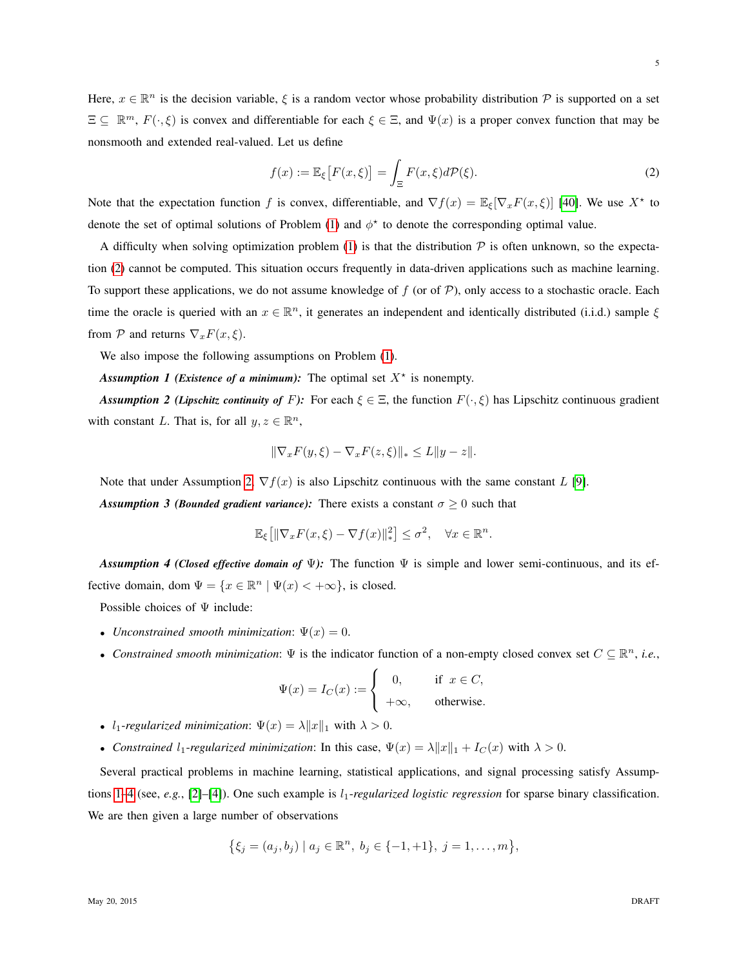Here,  $x \in \mathbb{R}^n$  is the decision variable,  $\xi$  is a random vector whose probability distribution  $\mathcal P$  is supported on a set  $\Xi \subseteq \mathbb{R}^m$ ,  $F(\cdot,\xi)$  is convex and differentiable for each  $\xi \in \Xi$ , and  $\Psi(x)$  is a proper convex function that may be nonsmooth and extended real-valued. Let us define

<span id="page-4-0"></span>
$$
f(x) := \mathbb{E}_{\xi} \left[ F(x, \xi) \right] = \int_{\Xi} F(x, \xi) d\mathcal{P}(\xi). \tag{2}
$$

Note that the expectation function f is convex, differentiable, and  $\nabla f(x) = \mathbb{E}_{\xi} [\nabla_x F(x, \xi)]$  [\[40\]](#page-22-7). We use  $X^*$  to denote the set of optimal solutions of Problem [\(1\)](#page-3-1) and  $\phi^*$  to denote the corresponding optimal value.

A difficulty when solving optimization problem [\(1\)](#page-3-1) is that the distribution  $\mathcal P$  is often unknown, so the expectation [\(2\)](#page-4-0) cannot be computed. This situation occurs frequently in data-driven applications such as machine learning. To support these applications, we do not assume knowledge of f (or of  $P$ ), only access to a stochastic oracle. Each time the oracle is queried with an  $x \in \mathbb{R}^n$ , it generates an independent and identically distributed (i.i.d.) sample  $\xi$ from  $P$  and returns  $\nabla_x F(x,\xi)$ .

We also impose the following assumptions on Problem [\(1\)](#page-3-1).

Assumption 1 (Existence of a minimum): The optimal set  $X^*$  is nonempty.

<span id="page-4-1"></span>*Assumption 2 (Lipschitz continuity of F):* For each  $\xi \in \Xi$ , the function  $F(\cdot,\xi)$  has Lipschitz continuous gradient with constant L. That is, for all  $y, z \in \mathbb{R}^n$ ,

<span id="page-4-2"></span>
$$
\|\nabla_x F(y,\xi) - \nabla_x F(z,\xi)\|_* \le L\|y - z\|.
$$

<span id="page-4-4"></span>Note that under Assumption [2,](#page-4-1)  $\nabla f(x)$  is also Lipschitz continuous with the same constant L [\[9\]](#page-21-6). **Assumption 3 (***Bounded gradient variance*): There exists a constant  $\sigma \geq 0$  such that

$$
\mathbb{E}_{\xi}\left[\|\nabla_x F(x,\xi)-\nabla f(x)\|_{*}^{2}\right] \leq \sigma^2, \quad \forall x \in \mathbb{R}^n.
$$

<span id="page-4-3"></span>*Assumption 4 (Closed effective domain of* Ψ*):* The function Ψ is simple and lower semi-continuous, and its effective domain, dom  $\Psi = \{x \in \mathbb{R}^n \mid \Psi(x) < +\infty\}$ , is closed.

Possible choices of  $\Psi$  include:

- *Unconstrained smooth minimization*:  $\Psi(x) = 0$ .
- *Constrained smooth minimization*:  $\Psi$  is the indicator function of a non-empty closed convex set  $C \subseteq \mathbb{R}^n$ , *i.e.*,

$$
\Psi(x) = I_C(x) := \begin{cases} 0, & \text{if } x \in C, \\ +\infty, & \text{otherwise.} \end{cases}
$$

- $l_1$ -regularized minimization:  $\Psi(x) = \lambda ||x||_1$  with  $\lambda > 0$ .
- *Constrained*  $l_1$ -*regularized minimization*: In this case,  $\Psi(x) = \lambda ||x||_1 + I_C(x)$  with  $\lambda > 0$ .

Several practical problems in machine learning, statistical applications, and signal processing satisfy Assump-tions [1](#page-4-2)[–4](#page-4-3) (see, *e.g.*, [\[2\]](#page-21-8)–[\[4\]](#page-21-9)). One such example is  $l_1$ -regularized logistic regression for sparse binary classification. We are then given a large number of observations

$$
\{\xi_j=(a_j,b_j)\mid a_j\in\mathbb{R}^n,\;b_j\in\{-1,+1\},\;j=1,\ldots,m\},\;
$$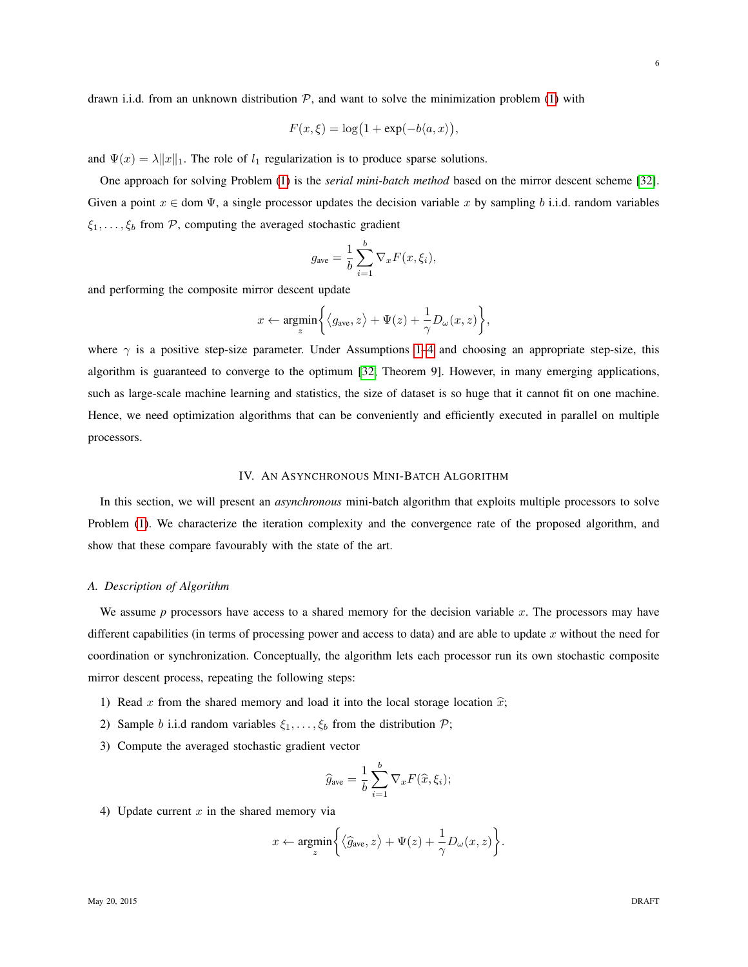drawn i.i.d. from an unknown distribution  $P$ , and want to solve the minimization problem [\(1\)](#page-3-1) with

$$
F(x,\xi) = \log(1 + \exp(-b\langle a,x \rangle)),
$$

and  $\Psi(x) = \lambda ||x||_1$ . The role of  $l_1$  regularization is to produce sparse solutions.

One approach for solving Problem [\(1\)](#page-3-1) is the *serial mini-batch method* based on the mirror descent scheme [\[32\]](#page-22-1). Given a point  $x \in$  dom  $\Psi$ , a single processor updates the decision variable x by sampling b i.i.d. random variables  $\xi_1, \ldots, \xi_b$  from P, computing the averaged stochastic gradient

$$
g_{\text{ave}} = \frac{1}{b} \sum_{i=1}^{b} \nabla_x F(x, \xi_i),
$$

and performing the composite mirror descent update

$$
x \leftarrow \underset{z}{\text{argmin}} \bigg\{ \big\langle g_{\text{ave}}, z \big\rangle + \Psi(z) + \frac{1}{\gamma} D_{\omega}(x, z) \bigg\},\
$$

where  $\gamma$  is a positive step-size parameter. Under Assumptions [1](#page-4-2)[–4](#page-4-3) and choosing an appropriate step-size, this algorithm is guaranteed to converge to the optimum [\[32,](#page-22-1) Theorem 9]. However, in many emerging applications, such as large-scale machine learning and statistics, the size of dataset is so huge that it cannot fit on one machine. Hence, we need optimization algorithms that can be conveniently and efficiently executed in parallel on multiple processors.

## IV. AN ASYNCHRONOUS MINI-BATCH ALGORITHM

<span id="page-5-0"></span>In this section, we will present an *asynchronous* mini-batch algorithm that exploits multiple processors to solve Problem [\(1\)](#page-3-1). We characterize the iteration complexity and the convergence rate of the proposed algorithm, and show that these compare favourably with the state of the art.

## *A. Description of Algorithm*

We assume  $p$  processors have access to a shared memory for the decision variable  $x$ . The processors may have different capabilities (in terms of processing power and access to data) and are able to update x without the need for coordination or synchronization. Conceptually, the algorithm lets each processor run its own stochastic composite mirror descent process, repeating the following steps:

- 1) Read x from the shared memory and load it into the local storage location  $\hat{x}$ ;
- 2) Sample b i.i.d random variables  $\xi_1, \ldots, \xi_b$  from the distribution  $\mathcal{P}$ ;
- 3) Compute the averaged stochastic gradient vector

$$
\widehat{g}_{\text{ave}} = \frac{1}{b} \sum_{i=1}^{b} \nabla_x F(\widehat{x}, \xi_i);
$$

4) Update current  $x$  in the shared memory via

$$
x \leftarrow \underset{z}{\text{argmin}} \bigg\{ \big\langle \widehat{g}_{\text{ave}}, z \big\rangle + \Psi(z) + \frac{1}{\gamma} D_{\omega}(x,z) \bigg\}.
$$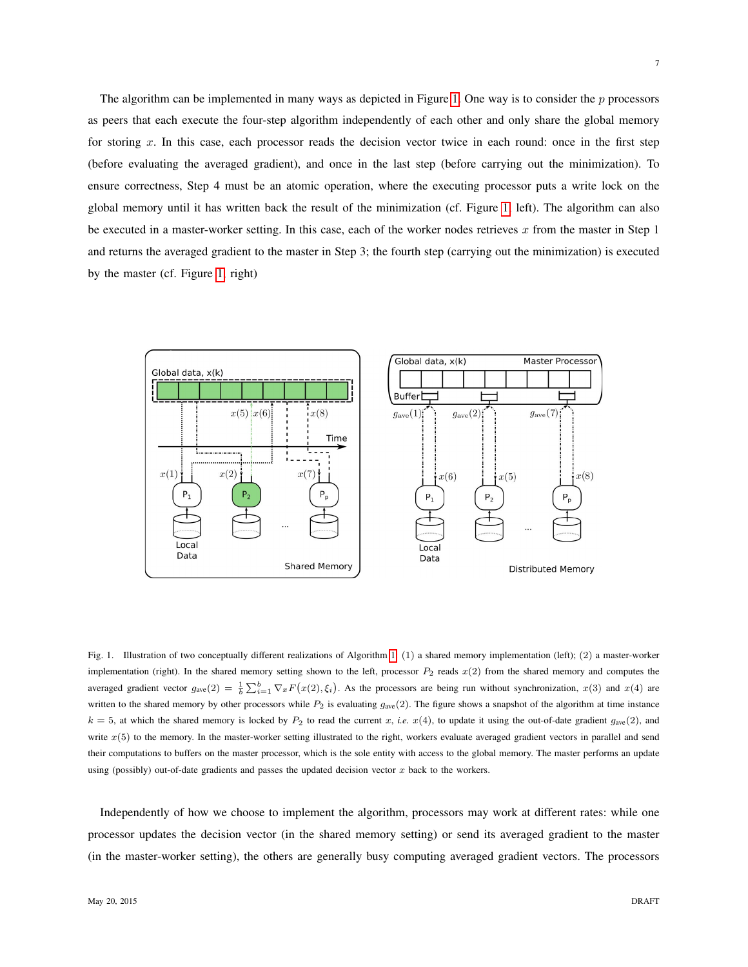The algorithm can be implemented in many ways as depicted in Figure [1.](#page-6-0) One way is to consider the  $p$  processors as peers that each execute the four-step algorithm independently of each other and only share the global memory for storing x. In this case, each processor reads the decision vector twice in each round: once in the first step (before evaluating the averaged gradient), and once in the last step (before carrying out the minimization). To ensure correctness, Step 4 must be an atomic operation, where the executing processor puts a write lock on the global memory until it has written back the result of the minimization (cf. Figure [1,](#page-6-0) left). The algorithm can also be executed in a master-worker setting. In this case, each of the worker nodes retrieves  $x$  from the master in Step 1 and returns the averaged gradient to the master in Step 3; the fourth step (carrying out the minimization) is executed by the master (cf. Figure [1,](#page-6-0) right)



<span id="page-6-0"></span>Fig. 1. Illustration of two conceptually different realizations of Algorithm [1:](#page-7-0) (1) a shared memory implementation (left); (2) a master-worker implementation (right). In the shared memory setting shown to the left, processor  $P_2$  reads  $x(2)$  from the shared memory and computes the averaged gradient vector  $g_{ave}(2) = \frac{1}{b} \sum_{i=1}^{b} \nabla_x F(x(2), \xi_i)$ . As the processors are being run without synchronization,  $x(3)$  and  $x(4)$  are written to the shared memory by other processors while  $P_2$  is evaluating  $g_{ave}(2)$ . The figure shows a snapshot of the algorithm at time instance  $k = 5$ , at which the shared memory is locked by  $P_2$  to read the current x, *i.e.*  $x(4)$ , to update it using the out-of-date gradient  $g_{ave}(2)$ , and write  $x(5)$  to the memory. In the master-worker setting illustrated to the right, workers evaluate averaged gradient vectors in parallel and send their computations to buffers on the master processor, which is the sole entity with access to the global memory. The master performs an update using (possibly) out-of-date gradients and passes the updated decision vector  $x$  back to the workers.

Independently of how we choose to implement the algorithm, processors may work at different rates: while one processor updates the decision vector (in the shared memory setting) or send its averaged gradient to the master (in the master-worker setting), the others are generally busy computing averaged gradient vectors. The processors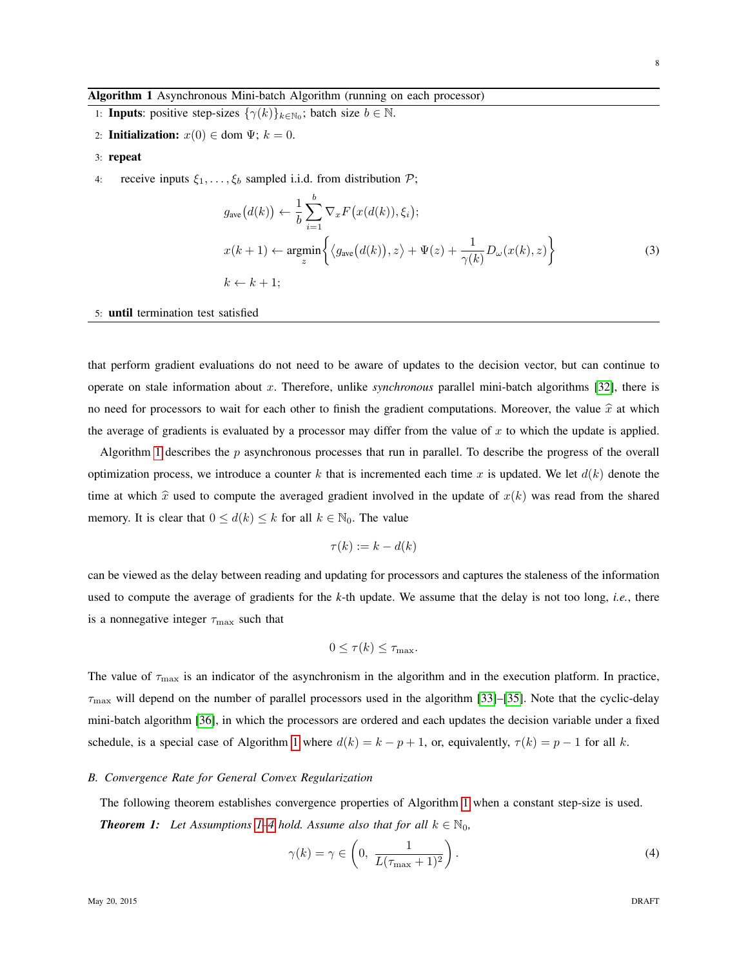#### <span id="page-7-0"></span>Algorithm 1 Asynchronous Mini-batch Algorithm (running on each processor)

- 1: **Inputs**: positive step-sizes  $\{\gamma(k)\}_{k \in \mathbb{N}_0}$ ; batch size  $b \in \mathbb{N}$ .
- 2: **Initialization:**  $x(0) \in \text{dom } \Psi$ ;  $k = 0$ .
- 3: repeat
- 4: receive inputs  $\xi_1, \ldots, \xi_b$  sampled i.i.d. from distribution  $\mathcal{P}$ ;

<span id="page-7-3"></span>
$$
g_{\text{ave}}(d(k)) \leftarrow \frac{1}{b} \sum_{i=1}^{b} \nabla_x F(x(d(k)), \xi_i);
$$
  
\n
$$
x(k+1) \leftarrow \underset{z}{\text{argmin}} \left\{ \langle g_{\text{ave}}(d(k)), z \rangle + \Psi(z) + \frac{1}{\gamma(k)} D_{\omega}(x(k), z) \right\}
$$
  
\n
$$
k \leftarrow k+1;
$$
\n(3)

#### 5: until termination test satisfied

that perform gradient evaluations do not need to be aware of updates to the decision vector, but can continue to operate on stale information about x. Therefore, unlike *synchronous* parallel mini-batch algorithms [\[32\]](#page-22-1), there is no need for processors to wait for each other to finish the gradient computations. Moreover, the value  $\hat{x}$  at which the average of gradients is evaluated by a processor may differ from the value of  $x$  to which the update is applied.

Algorithm [1](#page-7-0) describes the  $p$  asynchronous processes that run in parallel. To describe the progress of the overall optimization process, we introduce a counter k that is incremented each time x is updated. We let  $d(k)$  denote the time at which  $\hat{x}$  used to compute the averaged gradient involved in the update of  $x(k)$  was read from the shared memory. It is clear that  $0 \le d(k) \le k$  for all  $k \in \mathbb{N}_0$ . The value

$$
\tau(k) := k - d(k)
$$

can be viewed as the delay between reading and updating for processors and captures the staleness of the information used to compute the average of gradients for the *k*-th update. We assume that the delay is not too long, *i.e.*, there is a nonnegative integer  $\tau_{\text{max}}$  such that

$$
0 \le \tau(k) \le \tau_{\max}.
$$

The value of  $\tau_{\text{max}}$  is an indicator of the asynchronism in the algorithm and in the execution platform. In practice,  $\tau_{\rm max}$  will depend on the number of parallel processors used in the algorithm [\[33\]](#page-22-2)–[\[35\]](#page-22-3). Note that the cyclic-delay mini-batch algorithm [\[36\]](#page-22-4), in which the processors are ordered and each updates the decision variable under a fixed schedule, is a special case of Algorithm [1](#page-7-0) where  $d(k) = k - p + 1$ , or, equivalently,  $\tau(k) = p - 1$  for all k.

## *B. Convergence Rate for General Convex Regularization*

<span id="page-7-1"></span>The following theorem establishes convergence properties of Algorithm [1](#page-7-0) when a constant step-size is used. *Theorem 1: Let Assumptions [1–](#page-4-2)[4](#page-4-3) hold. Assume also that for all*  $k \in \mathbb{N}_0$ ,

<span id="page-7-2"></span>
$$
\gamma(k) = \gamma \in \left(0, \frac{1}{L(\tau_{\text{max}} + 1)^2}\right). \tag{4}
$$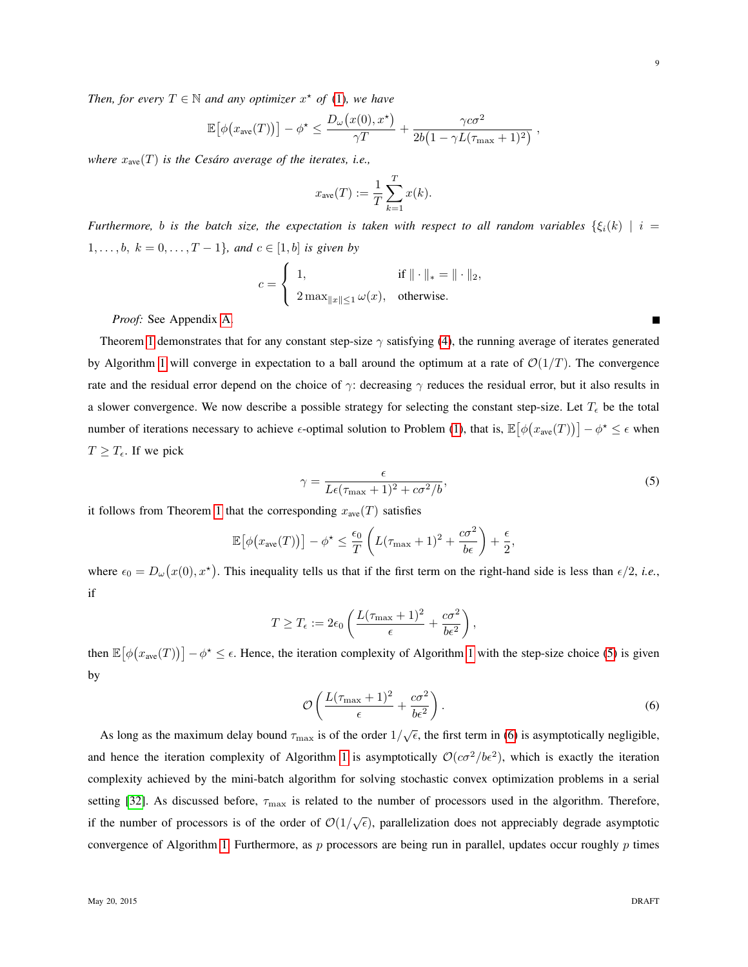*Then, for every*  $T \in \mathbb{N}$  *and any optimizer*  $x^*$  *of* [\(1\)](#page-3-1)*, we have* 

$$
\mathbb{E}[\phi(x_{\text{ave}}(T))] - \phi^* \leq \frac{D_\omega(x(0), x^*)}{\gamma T} + \frac{\gamma c \sigma^2}{2b(1 - \gamma L(\tau_{\text{max}} + 1)^2)},
$$

*where*  $x_{ave}(T)$  *is the Cesáro average of the iterates, i.e.,* 

$$
x_{\text{ave}}(T) := \frac{1}{T} \sum_{k=1}^{T} x(k).
$$

*Furthermore,* b is the batch size, the expectation is taken with respect to all random variables  $\{\xi_i(k) \mid i =$  $1, \ldots, b, k = 0, \ldots, T-1$ *}, and*  $c \in [1, b]$  *is given by* 

$$
c = \left\{ \begin{array}{ll} 1, & \mbox{if } \|\cdot\|_* = \|\cdot\|_2, \\[10pt] 2\max_{\|x\|\leq 1} \omega(x), & \mbox{otherwise}. \end{array} \right.
$$

*Proof:* See Appendix [A.](#page-17-0)

Theorem [1](#page-7-1) demonstrates that for any constant step-size  $\gamma$  satisfying [\(4\)](#page-7-2), the running average of iterates generated by Algorithm [1](#page-7-0) will converge in expectation to a ball around the optimum at a rate of  $\mathcal{O}(1/T)$ . The convergence rate and the residual error depend on the choice of  $\gamma$ : decreasing  $\gamma$  reduces the residual error, but it also results in a slower convergence. We now describe a possible strategy for selecting the constant step-size. Let  $T_{\epsilon}$  be the total number of iterations necessary to achieve  $\epsilon$ -optimal solution to Problem [\(1\)](#page-3-1), that is,  $\mathbb{E}[\phi(x_{\text{ave}}(T))] - \phi^* \leq \epsilon$  when  $T \geq T_{\epsilon}$ . If we pick

$$
\gamma = \frac{\epsilon}{L\epsilon(\tau_{\text{max}} + 1)^2 + c\sigma^2/b},\tag{5}
$$

it follows from Theorem [1](#page-7-1) that the corresponding  $x_{ave}(T)$  satisfies

$$
\mathbb{E}\big[\phi\big(x_{\text{ave}}(T)\big)\big] - \phi^{\star} \le \frac{\epsilon_0}{T}\left(L(\tau_{\text{max}} + 1)^2 + \frac{c\sigma^2}{b\epsilon}\right) + \frac{\epsilon}{2},
$$

where  $\epsilon_0 = D_\omega(x(0), x^*)$ . This inequality tells us that if the first term on the right-hand side is less than  $\epsilon/2$ , *i.e.*, if

$$
T \geq T_{\epsilon} := 2\epsilon_0 \left( \frac{L(\tau_{\max} + 1)^2}{\epsilon} + \frac{c\sigma^2}{b\epsilon^2} \right),
$$

then  $\mathbb{E}[\phi(x_{\text{ave}}(T))] - \phi^* \leq \epsilon$ . Hence, the iteration complexity of Algorithm [1](#page-7-0) with the step-size choice [\(5\)](#page-8-0) is given by

<span id="page-8-1"></span>
$$
\mathcal{O}\left(\frac{L(\tau_{\text{max}}+1)^2}{\epsilon} + \frac{c\sigma^2}{b\epsilon^2}\right). \tag{6}
$$

As long as the maximum delay bound  $\tau_{\text{max}}$  is of the order  $1/\sqrt{\epsilon}$ , the first term in [\(6\)](#page-8-1) is asymptotically negligible, and hence the iteration complexity of Algorithm [1](#page-7-0) is asymptotically  $O(c\sigma^2/b\epsilon^2)$ , which is exactly the iteration complexity achieved by the mini-batch algorithm for solving stochastic convex optimization problems in a serial setting [\[32\]](#page-22-1). As discussed before,  $\tau_{\text{max}}$  is related to the number of processors used in the algorithm. Therefore, if the number of processors is of the order of  $\mathcal{O}(1/\sqrt{\epsilon})$ , parallelization does not appreciably degrade asymptotic convergence of Algorithm [1.](#page-7-0) Furthermore, as p processors are being run in parallel, updates occur roughly p times

<span id="page-8-0"></span>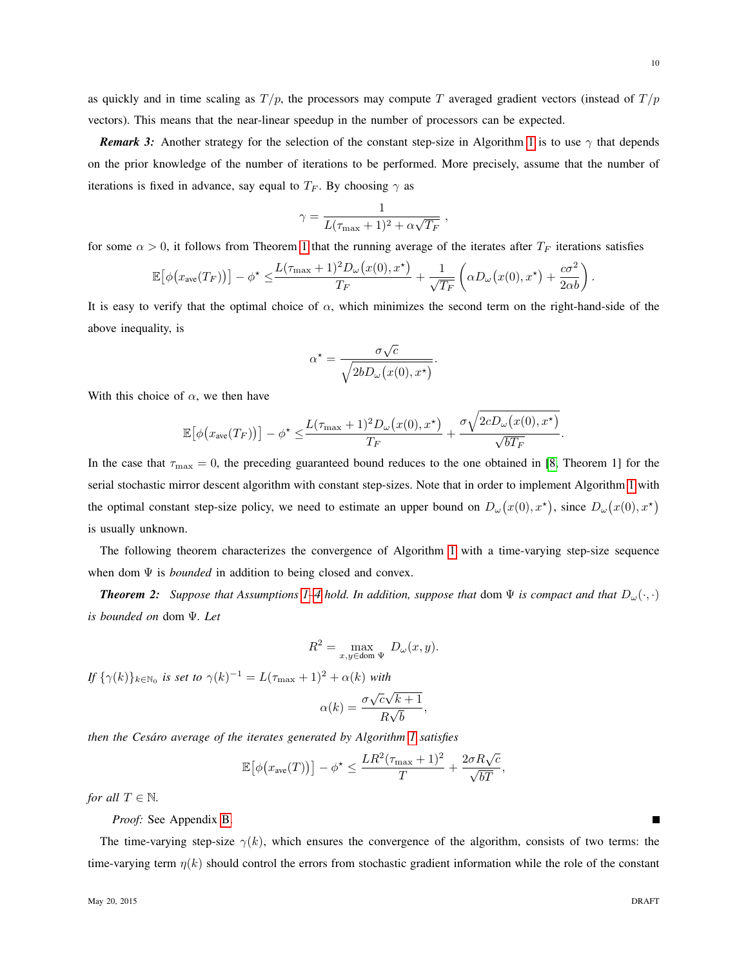as quickly and in time scaling as  $T/p$ , the processors may compute T averaged gradient vectors (instead of  $T/p$ vectors). This means that the near-linear speedup in the number of processors can be expected.

*Remark 3:* Another strategy for the selection of the constant step-size in Algorithm [1](#page-7-0) is to use  $\gamma$  that depends on the prior knowledge of the number of iterations to be performed. More precisely, assume that the number of iterations is fixed in advance, say equal to  $T_F$ . By choosing  $\gamma$  as

$$
\gamma = \frac{1}{L(\tau_{\max}+1)^2 + \alpha\sqrt{T_F}}
$$

,

for some  $\alpha > 0$ , it follows from Theorem [1](#page-7-1) that the running average of the iterates after  $T_F$  iterations satisfies

$$
\mathbb{E}\big[\phi\big(x_{\text{ave}}(T_F)\big)\big] - \phi^{\star} \leq \frac{L(\tau_{\text{max}} + 1)^2 D_{\omega}\big(x(0), x^{\star}\big)}{T_F} + \frac{1}{\sqrt{T_F}}\left(\alpha D_{\omega}\big(x(0), x^{\star}\big) + \frac{c\sigma^2}{2\alpha b}\right).
$$

It is easy to verify that the optimal choice of  $\alpha$ , which minimizes the second term on the right-hand-side of the above inequality, is

$$
\alpha^* = \frac{\sigma\sqrt{c}}{\sqrt{2bD_{\omega}(x(0), x^*)}}.
$$

With this choice of  $\alpha$ , we then have

$$
\mathbb{E}\big[\phi\big(x_{\text{ave}}(T_F)\big)\big] - \phi^{\star} \leq \frac{L(\tau_{\text{max}} + 1)^2 D_{\omega}\big(x(0), x^{\star}\big)}{T_F} + \frac{\sigma \sqrt{2c D_{\omega}\big(x(0), x^{\star}\big)}}{\sqrt{bT_F}}.
$$

In the case that  $\tau_{\text{max}} = 0$ , the preceding guaranteed bound reduces to the one obtained in [\[8,](#page-21-5) Theorem 1] for the serial stochastic mirror descent algorithm with constant step-sizes. Note that in order to implement Algorithm [1](#page-7-0) with the optimal constant step-size policy, we need to estimate an upper bound on  $D_\omega(x(0), x^*)$ , since  $D_\omega(x(0), x^*)$ is usually unknown.

The following theorem characterizes the convergence of Algorithm [1](#page-7-0) with a time-varying step-size sequence when dom  $\Psi$  is *bounded* in addition to being closed and convex.

<span id="page-9-0"></span>*Theorem 2: Suppose that Assumptions [1–](#page-4-2)[4](#page-4-3) hold. In addition, suppose that* dom  $\Psi$  *is compact and that*  $D_{\omega}(\cdot, \cdot)$ *is bounded on* dom Ψ*. Let*

$$
R^2 = \max_{x,y \in \text{dom }\Psi} D_{\omega}(x,y).
$$

*If*  $\{\gamma(k)\}_{k\in\mathbb{N}_0}$  *is set to*  $\gamma(k)^{-1} = L(\tau_{\max} + 1)^2 + \alpha(k)$  *with* 

$$
\alpha(k) = \frac{\sigma \sqrt{c} \sqrt{k+1}}{R \sqrt{b}},
$$

*then the Cesaro average of the iterates generated by Algorithm [1](#page-7-0) satisfies ´*

$$
\mathbb{E}[\phi(x_{\text{ave}}(T))] - \phi^* \le \frac{LR^2(\tau_{\text{max}} + 1)^2}{T} + \frac{2\sigma R\sqrt{c}}{\sqrt{bT}},
$$

*for all*  $T \in \mathbb{N}$ *.* 

*Proof:* See Appendix [B.](#page-18-0)

The time-varying step-size  $\gamma(k)$ , which ensures the convergence of the algorithm, consists of two terms: the time-varying term  $\eta(k)$  should control the errors from stochastic gradient information while the role of the constant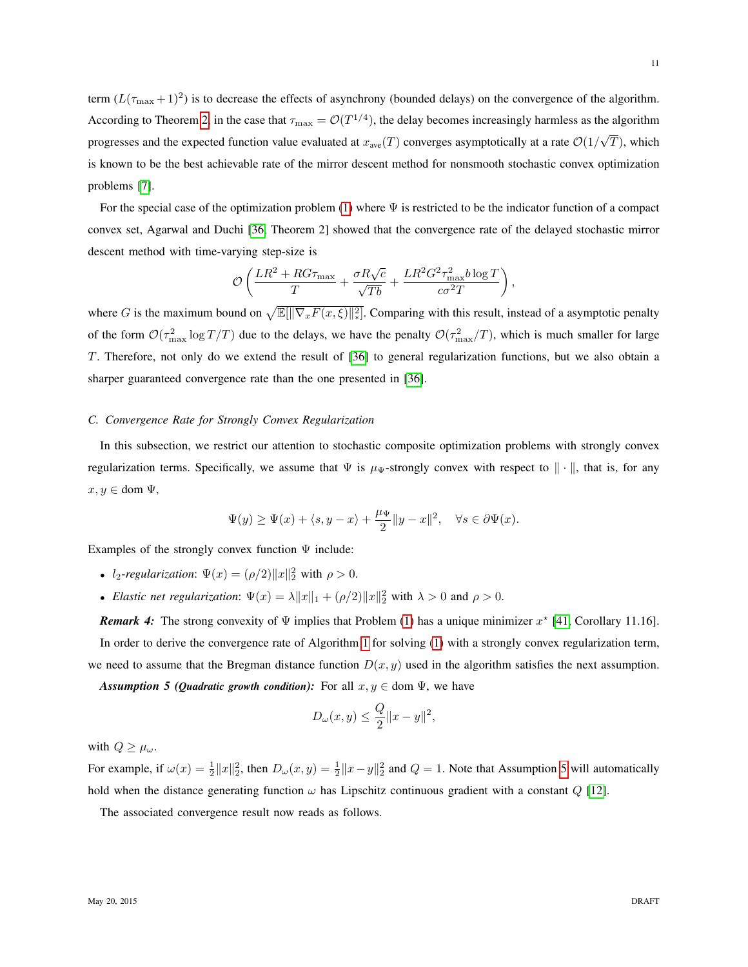term  $(L(\tau_{\text{max}}+1)^2)$  is to decrease the effects of asynchrony (bounded delays) on the convergence of the algorithm. According to Theorem [2,](#page-9-0) in the case that  $\tau_{\text{max}} = \mathcal{O}(T^{1/4})$ , the delay becomes increasingly harmless as the algorithm progresses and the expected function value evaluated at  $x_{\text{ave}}(T)$  converges asymptotically at a rate  $\mathcal{O}(1/2)$ √  $T$ ), which is known to be the best achievable rate of the mirror descent method for nonsmooth stochastic convex optimization problems [\[7\]](#page-21-3).

For the special case of the optimization problem [\(1\)](#page-3-1) where  $\Psi$  is restricted to be the indicator function of a compact convex set, Agarwal and Duchi [\[36,](#page-22-4) Theorem 2] showed that the convergence rate of the delayed stochastic mirror descent method with time-varying step-size is

$$
\mathcal{O}\left(\frac{LR^2 + RG\tau_{\text{max}}}{T} + \frac{\sigma R\sqrt{c}}{\sqrt{Tb}} + \frac{LR^2G^2\tau_{\text{max}}^2b\log T}{c\sigma^2T}\right),\,
$$

where G is the maximum bound on  $\sqrt{\mathbb{E}[\|\nabla_x F(x,\xi)\|^2_*]}$ . Comparing with this result, instead of a asymptotic penalty of the form  $\mathcal{O}(\tau_{\text{max}}^2 \log T/T)$  due to the delays, we have the penalty  $\mathcal{O}(\tau_{\text{max}}^2/T)$ , which is much smaller for large T. Therefore, not only do we extend the result of [\[36\]](#page-22-4) to general regularization functions, but we also obtain a sharper guaranteed convergence rate than the one presented in [\[36\]](#page-22-4).

## *C. Convergence Rate for Strongly Convex Regularization*

In this subsection, we restrict our attention to stochastic composite optimization problems with strongly convex regularization terms. Specifically, we assume that  $\Psi$  is  $\mu_{\Psi}$ -strongly convex with respect to  $\|\cdot\|$ , that is, for any  $x, y \in$  dom  $\Psi$ ,

$$
\Psi(y) \ge \Psi(x) + \langle s, y - x \rangle + \frac{\mu_{\Psi}}{2} \|y - x\|^2, \quad \forall s \in \partial \Psi(x).
$$

Examples of the strongly convex function  $\Psi$  include:

- $l_2$ -regularization:  $\Psi(x) = (\rho/2) ||x||_2^2$  with  $\rho > 0$ .
- *Elastic net regularization*:  $\Psi(x) = \lambda \|x\|_1 + (\rho/2) \|x\|_2^2$  with  $\lambda > 0$  and  $\rho > 0$ .

**Remark 4:** The strong convexity of  $\Psi$  implies that Problem [\(1\)](#page-3-1) has a unique minimizer  $x^*$  [\[41,](#page-22-8) Corollary 11.16]. In order to derive the convergence rate of Algorithm [1](#page-7-0) for solving [\(1\)](#page-3-1) with a strongly convex regularization term, we need to assume that the Bregman distance function  $D(x, y)$  used in the algorithm satisfies the next assumption.

<span id="page-10-0"></span>*Assumption 5 (Quadratic growth condition):* For all  $x, y \in$  dom  $\Psi$ , we have

$$
D_{\omega}(x, y) \le \frac{Q}{2} ||x - y||^2,
$$

with  $Q \geq \mu_{\omega}$ .

For example, if  $\omega(x) = \frac{1}{2} ||x||_2^2$ , then  $D_{\omega}(x, y) = \frac{1}{2} ||x - y||_2^2$  and  $Q = 1$ . Note that Assumption [5](#page-10-0) will automatically hold when the distance generating function  $\omega$  has Lipschitz continuous gradient with a constant Q [\[12\]](#page-21-10).

<span id="page-10-1"></span>The associated convergence result now reads as follows.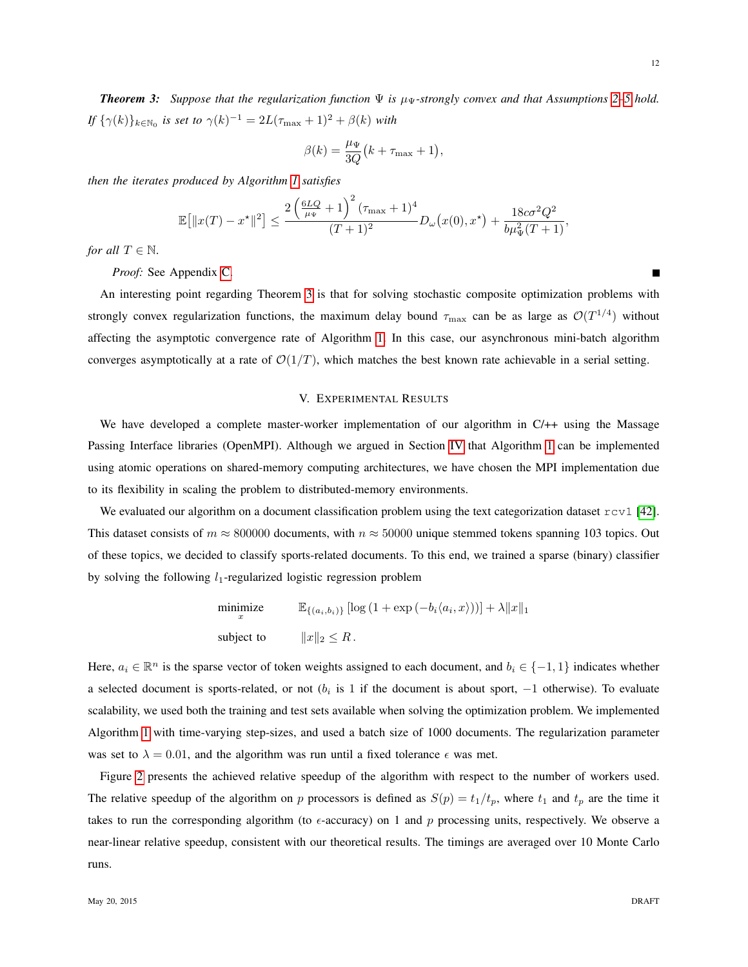*Theorem 3: Suppose that the regularization function*  $\Psi$  *is*  $\mu_{\Psi}$ -strongly convex and that Assumptions [2](#page-4-1)[–5](#page-10-0) hold. *If*  $\{\gamma(k)\}_{k\in\mathbb{N}_0}$  *is set to*  $\gamma(k)^{-1} = 2L(\tau_{\max} + 1)^2 + \beta(k)$  *with* 

$$
\beta(k) = \frac{\mu_{\Psi}}{3Q} (k + \tau_{\max} + 1),
$$

*then the iterates produced by Algorithm [1](#page-7-0) satisfies*

$$
\mathbb{E}\big[\|x(T)-x^\star\|^2\big] \le \frac{2\left(\frac{6LQ}{\mu_\Psi}+1\right)^2(\tau_{\max}+1)^4}{(T+1)^2}D_\omega\big(x(0),x^\star\big)+\frac{18c\sigma^2Q^2}{b\mu_\Psi^2(T+1)},
$$

*for all*  $T \in \mathbb{N}$ *.* 

*Proof:* See Appendix [C.](#page-19-0)

An interesting point regarding Theorem [3](#page-10-1) is that for solving stochastic composite optimization problems with strongly convex regularization functions, the maximum delay bound  $\tau_{\rm max}$  can be as large as  $\mathcal{O}(T^{1/4})$  without affecting the asymptotic convergence rate of Algorithm [1.](#page-7-0) In this case, our asynchronous mini-batch algorithm converges asymptotically at a rate of  $\mathcal{O}(1/T)$ , which matches the best known rate achievable in a serial setting.

## V. EXPERIMENTAL RESULTS

<span id="page-11-0"></span>We have developed a complete master-worker implementation of our algorithm in C/++ using the Massage Passing Interface libraries (OpenMPI). Although we argued in Section [IV](#page-5-0) that Algorithm [1](#page-7-0) can be implemented using atomic operations on shared-memory computing architectures, we have chosen the MPI implementation due to its flexibility in scaling the problem to distributed-memory environments.

We evaluated our algorithm on a document classification problem using the text categorization dataset  $r \text{cyl}$  [\[42\]](#page-22-9). This dataset consists of  $m \approx 800000$  documents, with  $n \approx 50000$  unique stemmed tokens spanning 103 topics. Out of these topics, we decided to classify sports-related documents. To this end, we trained a sparse (binary) classifier by solving the following  $l_1$ -regularized logistic regression problem

$$
\begin{aligned}\n\min_{x} \text{size} & \qquad \mathbb{E}_{\{(a_i, b_i)\}} \left[ \log \left( 1 + \exp \left( -b_i \langle a_i, x \rangle \right) \right) \right] + \lambda \|x\|_1 \\
\text{subject to} & \qquad \|x\|_2 \leq R.\n\end{aligned}
$$

Here,  $a_i \in \mathbb{R}^n$  is the sparse vector of token weights assigned to each document, and  $b_i \in \{-1, 1\}$  indicates whether a selected document is sports-related, or not ( $b_i$  is 1 if the document is about sport,  $-1$  otherwise). To evaluate scalability, we used both the training and test sets available when solving the optimization problem. We implemented Algorithm [1](#page-7-0) with time-varying step-sizes, and used a batch size of 1000 documents. The regularization parameter was set to  $\lambda = 0.01$ , and the algorithm was run until a fixed tolerance  $\epsilon$  was met.

Figure [2](#page-12-1) presents the achieved relative speedup of the algorithm with respect to the number of workers used. The relative speedup of the algorithm on p processors is defined as  $S(p) = t_1/t_p$ , where  $t_1$  and  $t_p$  are the time it takes to run the corresponding algorithm (to  $\epsilon$ -accuracy) on 1 and p processing units, respectively. We observe a near-linear relative speedup, consistent with our theoretical results. The timings are averaged over 10 Monte Carlo runs.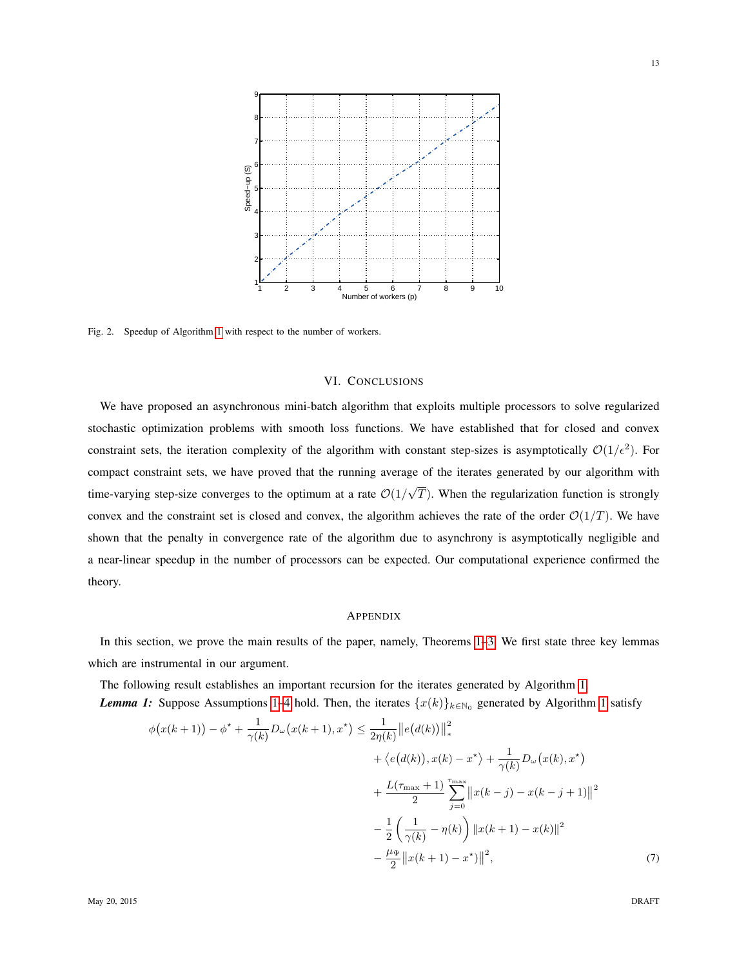

<span id="page-12-1"></span>Fig. 2. Speedup of Algorithm [1](#page-7-0) with respect to the number of workers.

## VI. CONCLUSIONS

<span id="page-12-0"></span>We have proposed an asynchronous mini-batch algorithm that exploits multiple processors to solve regularized stochastic optimization problems with smooth loss functions. We have established that for closed and convex constraint sets, the iteration complexity of the algorithm with constant step-sizes is asymptotically  $O(1/\epsilon^2)$ . For compact constraint sets, we have proved that the running average of the iterates generated by our algorithm with time-varying step-size converges to the optimum at a rate  $\mathcal{O}(1)$ √  $T$ ). When the regularization function is strongly convex and the constraint set is closed and convex, the algorithm achieves the rate of the order  $\mathcal{O}(1/T)$ . We have shown that the penalty in convergence rate of the algorithm due to asynchrony is asymptotically negligible and a near-linear speedup in the number of processors can be expected. Our computational experience confirmed the theory.

## APPENDIX

In this section, we prove the main results of the paper, namely, Theorems [1](#page-7-1)[–3.](#page-10-1) We first state three key lemmas which are instrumental in our argument.

<span id="page-12-2"></span>The following result establishes an important recursion for the iterates generated by Algorithm [1.](#page-7-0) *Lemma [1](#page-7-0):* Suppose Assumptions [1–](#page-4-2)[4](#page-4-3) hold. Then, the iterates  $\{x(k)\}_{k\in\mathbb{N}_0}$  generated by Algorithm 1 satisfy

$$
\phi(x(k+1)) - \phi^* + \frac{1}{\gamma(k)} D_{\omega}(x(k+1), x^*) \le \frac{1}{2\eta(k)} ||e(d(k))||_*^2 \n+ \langle e(d(k)), x(k) - x^* \rangle + \frac{1}{\gamma(k)} D_{\omega}(x(k), x^*) \n+ \frac{L(\tau_{\text{max}} + 1)}{2} \sum_{j=0}^{\tau_{\text{max}}} ||x(k - j) - x(k - j + 1)||^2 \n- \frac{1}{2} \left( \frac{1}{\gamma(k)} - \eta(k) \right) ||x(k + 1) - x(k)||^2 \n- \frac{\mu_{\Psi}}{2} ||x(k + 1) - x^*||^2,
$$
\n(7)

<span id="page-12-3"></span>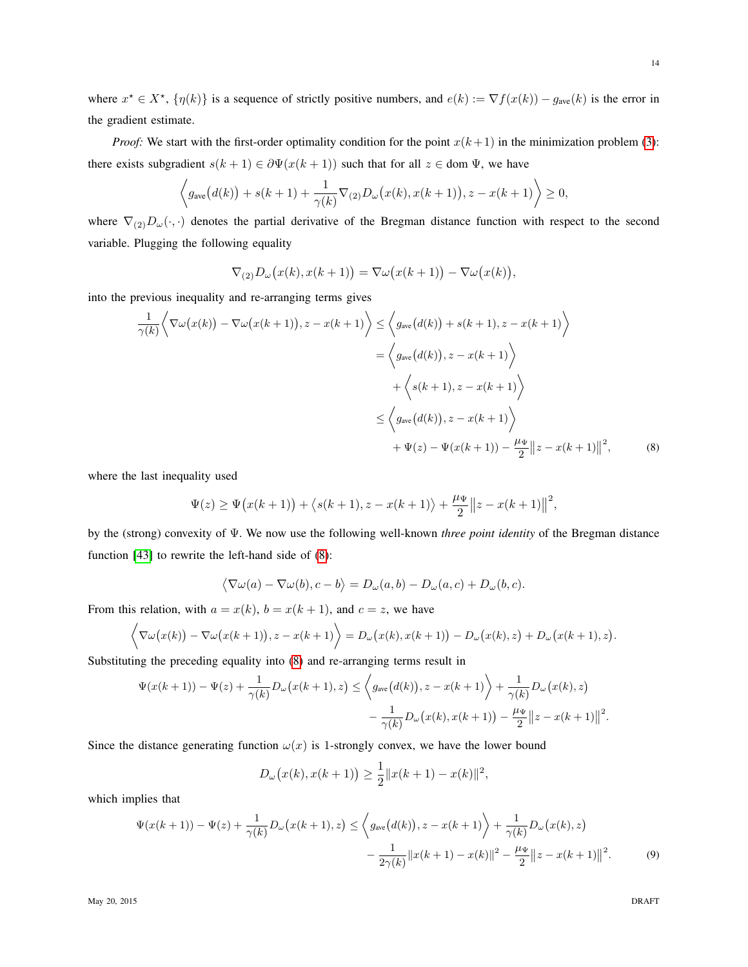where  $x^* \in X^*$ ,  $\{\eta(k)\}\$ is a sequence of strictly positive numbers, and  $e(k) := \nabla f(x(k)) - g_{ave}(k)$  is the error in the gradient estimate.

*Proof:* We start with the first-order optimality condition for the point  $x(k+1)$  in the minimization problem [\(3\)](#page-7-3): there exists subgradient  $s(k + 1) \in \partial \Psi(x(k + 1))$  such that for all  $z \in \text{dom } \Psi$ , we have

$$
\left\langle g_{\rm ave}\big(d(k)\big)+s(k+1)+\frac{1}{\gamma(k)}\nabla_{(2)}D_\omega\big(x(k),x(k+1)\big),z-x(k+1)\right\rangle\geq 0,
$$

where  $\nabla_{(2)}D_{\omega}(\cdot,\cdot)$  denotes the partial derivative of the Bregman distance function with respect to the second variable. Plugging the following equality

<span id="page-13-0"></span>
$$
\nabla_{(2)}D_{\omega}(x(k),x(k+1)) = \nabla \omega(x(k+1)) - \nabla \omega(x(k)),
$$

into the previous inequality and re-arranging terms gives

$$
\frac{1}{\gamma(k)} \left\langle \nabla \omega(x(k)) - \nabla \omega(x(k+1)), z - x(k+1) \right\rangle \leq \left\langle g_{\text{ave}}(d(k)) + s(k+1), z - x(k+1) \right\rangle
$$

$$
= \left\langle g_{\text{ave}}(d(k)), z - x(k+1) \right\rangle
$$

$$
+ \left\langle s(k+1), z - x(k+1) \right\rangle
$$

$$
\leq \left\langle g_{\text{ave}}(d(k)), z - x(k+1) \right\rangle
$$

$$
+ \Psi(z) - \Psi(x(k+1)) - \frac{\mu_{\Psi}}{2} ||z - x(k+1)||^2, \tag{8}
$$

where the last inequality used

$$
\Psi(z) \ge \Psi(x(k+1)) + \langle s(k+1), z - x(k+1) \rangle + \frac{\mu_{\Psi}}{2} ||z - x(k+1)||^2,
$$

by the (strong) convexity of Ψ. We now use the following well-known *three point identity* of the Bregman distance function [\[43\]](#page-22-10) to rewrite the left-hand side of [\(8\)](#page-13-0):

$$
\langle \nabla \omega(a) - \nabla \omega(b), c - b \rangle = D_{\omega}(a, b) - D_{\omega}(a, c) + D_{\omega}(b, c).
$$

From this relation, with  $a = x(k)$ ,  $b = x(k + 1)$ , and  $c = z$ , we have

$$
\left\langle \nabla \omega(x(k)) - \nabla \omega(x(k+1)), z - x(k+1) \right\rangle = D_{\omega}(x(k), x(k+1)) - D_{\omega}(x(k), z) + D_{\omega}(x(k+1), z).
$$

Substituting the preceding equality into [\(8\)](#page-13-0) and re-arranging terms result in

$$
\Psi(x(k+1)) - \Psi(z) + \frac{1}{\gamma(k)} D_{\omega} (x(k+1), z) \le \left\langle g_{\text{ave}}(d(k)), z - x(k+1) \right\rangle + \frac{1}{\gamma(k)} D_{\omega} (x(k), z) \n- \frac{1}{\gamma(k)} D_{\omega} (x(k), x(k+1)) - \frac{\mu_{\Psi}}{2} ||z - x(k+1)||^2.
$$

Since the distance generating function  $\omega(x)$  is 1-strongly convex, we have the lower bound

<span id="page-13-1"></span>
$$
D_{\omega}(x(k), x(k+1)) \ge \frac{1}{2} ||x(k+1) - x(k)||^2,
$$

which implies that

$$
\Psi(x(k+1)) - \Psi(z) + \frac{1}{\gamma(k)} D_{\omega}(x(k+1), z) \le \left\langle g_{\text{ave}}(d(k)), z - x(k+1) \right\rangle + \frac{1}{\gamma(k)} D_{\omega}(x(k), z) \n- \frac{1}{2\gamma(k)} ||x(k+1) - x(k)||^2 - \frac{\mu_{\Psi}}{2} ||z - x(k+1)||^2.
$$
\n(9)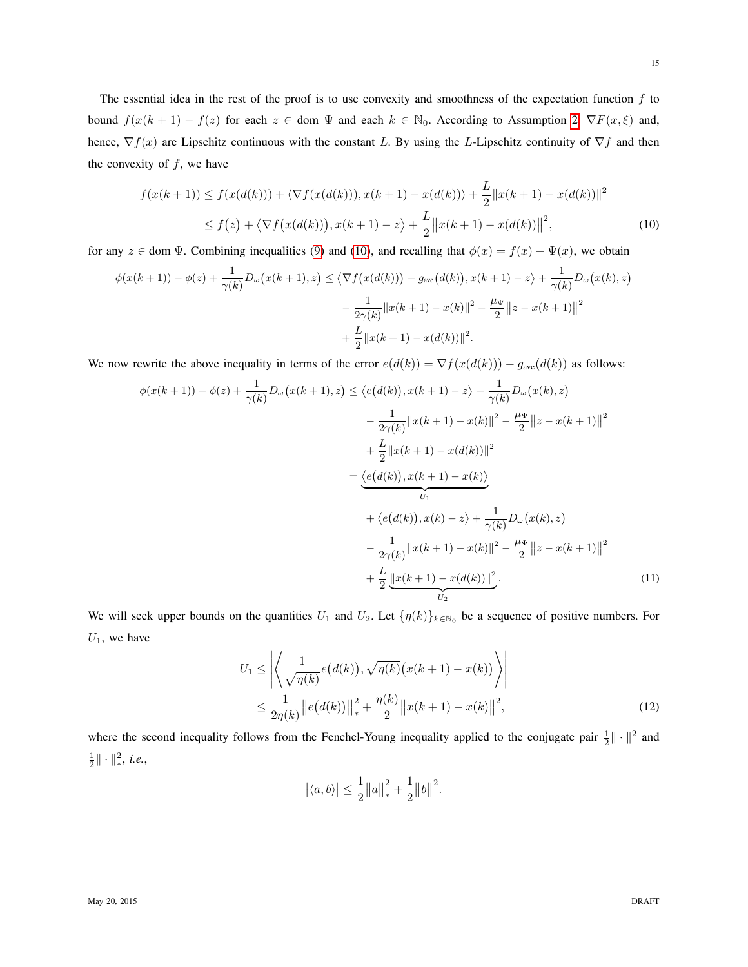The essential idea in the rest of the proof is to use convexity and smoothness of the expectation function  $f$  to bound  $f(x(k + 1) - f(z))$  for each  $z \in$  dom  $\Psi$  and each  $k \in \mathbb{N}_0$ . According to Assumption [2,](#page-4-1)  $\nabla F(x, \xi)$  and, hence,  $\nabla f(x)$  are Lipschitz continuous with the constant L. By using the L-Lipschitz continuity of  $\nabla f$  and then the convexity of  $f$ , we have

<span id="page-14-0"></span>
$$
f(x(k+1)) \le f(x(d(k))) + \langle \nabla f(x(d(k))), x(k+1) - x(d(k)) \rangle + \frac{L}{2} ||x(k+1) - x(d(k))||^2
$$
  

$$
\le f(z) + \langle \nabla f(x(d(k))), x(k+1) - z \rangle + \frac{L}{2} ||x(k+1) - x(d(k))||^2,
$$
 (10)

for any  $z \in$  dom  $\Psi$ . Combining inequalities [\(9\)](#page-13-1) and [\(10\)](#page-14-0), and recalling that  $\phi(x) = f(x) + \Psi(x)$ , we obtain

$$
\phi(x(k+1)) - \phi(z) + \frac{1}{\gamma(k)} D_{\omega}(x(k+1), z) \le \langle \nabla f(x(d(k))) - g_{\text{ave}}(d(k)), x(k+1) - z \rangle + \frac{1}{\gamma(k)} D_{\omega}(x(k), z)
$$

$$
- \frac{1}{2\gamma(k)} ||x(k+1) - x(k)||^2 - \frac{\mu_{\Psi}}{2} ||z - x(k+1)||^2
$$

$$
+ \frac{L}{2} ||x(k+1) - x(d(k))||^2.
$$

We now rewrite the above inequality in terms of the error  $e(d(k)) = \nabla f(x(d(k))) - g_{ave}(d(k))$  as follows:

$$
\phi(x(k+1)) - \phi(z) + \frac{1}{\gamma(k)} D_{\omega}(x(k+1), z) \leq \langle e(d(k)), x(k+1) - z \rangle + \frac{1}{\gamma(k)} D_{\omega}(x(k), z)
$$

$$
- \frac{1}{2\gamma(k)} ||x(k+1) - x(k)||^2 - \frac{\mu_{\Psi}}{2} ||z - x(k+1)||^2
$$

$$
+ \frac{L}{2} ||x(k+1) - x(d(k))||^2
$$

$$
= \underbrace{\langle e(d(k)), x(k+1) - x(k) \rangle}_{U_1}
$$

$$
+ \langle e(d(k)), x(k) - z \rangle + \frac{1}{\gamma(k)} D_{\omega}(x(k), z)
$$

$$
- \frac{1}{2\gamma(k)} ||x(k+1) - x(k)||^2 - \frac{\mu_{\Psi}}{2} ||z - x(k+1)||^2
$$

$$
+ \frac{L}{2} ||x(k+1) - x(d(k))||^2.
$$
(11)

We will seek upper bounds on the quantities  $U_1$  and  $U_2$ . Let  $\{\eta(k)\}_{k\in\mathbb{N}_0}$  be a sequence of positive numbers. For  $U_1$ , we have

$$
U_1 \le \left| \left\langle \frac{1}{\sqrt{\eta(k)}} e(d(k)), \sqrt{\eta(k)} (x(k+1) - x(k)) \right\rangle \right|
$$
  

$$
\le \frac{1}{2\eta(k)} \left| |e(d(k))| \right|_*^2 + \frac{\eta(k)}{2} \left| |x(k+1) - x(k)| \right|^2,
$$
 (12)

where the second inequality follows from the Fenchel-Young inequality applied to the conjugate pair  $\frac{1}{2} \|\cdot\|^2$  and  $\frac{1}{2} \|\cdot\|_*^2$ , *i.e.*,

<span id="page-14-2"></span><span id="page-14-1"></span>
$$
|\langle a,b\rangle| \leq \frac{1}{2} ||a||_*^2 + \frac{1}{2} ||b||^2.
$$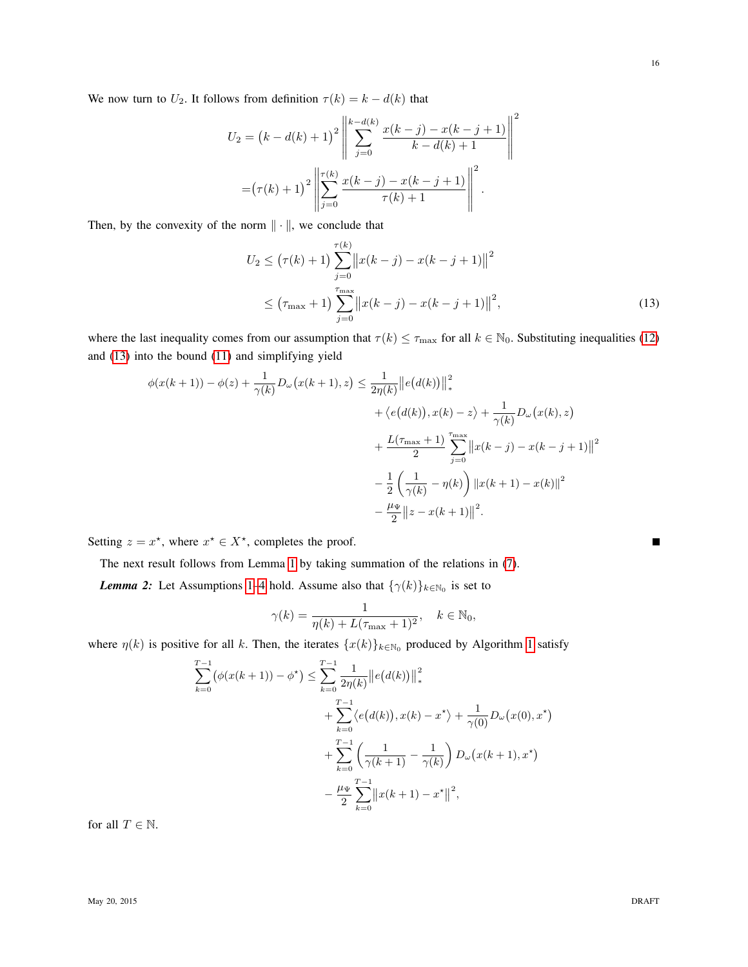We now turn to  $U_2$ . It follows from definition  $\tau(k) = k - d(k)$  that

$$
U_2 = (k - d(k) + 1)^2 \left\| \sum_{j=0}^{k-d(k)} \frac{x(k-j) - x(k-j+1)}{k-d(k)+1} \right\|^2
$$

$$
= (\tau(k) + 1)^2 \left\| \sum_{j=0}^{\tau(k)} \frac{x(k-j) - x(k-j+1)}{\tau(k)+1} \right\|^2.
$$

Then, by the convexity of the norm  $\|\cdot\|$ , we conclude that

$$
U_2 \le (\tau(k) + 1) \sum_{j=0}^{\tau(k)} ||x(k - j) - x(k - j + 1)||^2
$$
  
 
$$
\le (\tau_{\max} + 1) \sum_{j=0}^{\tau_{\max}} ||x(k - j) - x(k - j + 1)||^2,
$$
 (13)

where the last inequality comes from our assumption that  $\tau(k) \leq \tau_{\text{max}}$  for all  $k \in \mathbb{N}_0$ . Substituting inequalities [\(12\)](#page-14-1) and [\(13\)](#page-15-0) into the bound [\(11\)](#page-14-2) and simplifying yield

$$
\phi(x(k+1)) - \phi(z) + \frac{1}{\gamma(k)} D_{\omega}(x(k+1), z) \le \frac{1}{2\eta(k)} ||e(d(k))||_*^2 \n+ \langle e(d(k)), x(k) - z \rangle + \frac{1}{\gamma(k)} D_{\omega}(x(k), z) \n+ \frac{L(\tau_{\text{max}} + 1)}{2} \sum_{j=0}^{\tau_{\text{max}}} ||x(k - j) - x(k - j + 1)||^2 \n- \frac{1}{2} \left( \frac{1}{\gamma(k)} - \eta(k) \right) ||x(k + 1) - x(k)||^2 \n- \frac{\mu_{\Psi}}{2} ||z - x(k + 1)||^2.
$$

Setting  $z = x^*$ , where  $x^* \in X^*$ , completes the proof.

The next result follows from Lemma [1](#page-12-2) by taking summation of the relations in [\(7\)](#page-12-3).

<span id="page-15-1"></span>**Lemma 2:** Let Assumptions [1](#page-4-2)[–4](#page-4-3) hold. Assume also that  $\{\gamma(k)\}_{k\in\mathbb{N}_0}$  is set to

$$
\gamma(k) = \frac{1}{\eta(k) + L(\tau_{\text{max}} + 1)^2}, \quad k \in \mathbb{N}_0,
$$

where  $\eta(k)$  is positive for all k. Then, the iterates  $\{x(k)\}_{k\in\mathbb{N}_0}$  produced by Algorithm [1](#page-7-0) satisfy

$$
\sum_{k=0}^{T-1} (\phi(x(k+1)) - \phi^*) \le \sum_{k=0}^{T-1} \frac{1}{2\eta(k)} ||e(d(k))||_*^2
$$
  
+ 
$$
\sum_{k=0}^{T-1} \langle e(d(k)), x(k) - x^* \rangle + \frac{1}{\gamma(0)} D_{\omega}(x(0), x^*)
$$
  
+ 
$$
\sum_{k=0}^{T-1} \left( \frac{1}{\gamma(k+1)} - \frac{1}{\gamma(k)} \right) D_{\omega}(x(k+1), x^*)
$$
  
- 
$$
\frac{\mu_{\Psi}}{2} \sum_{k=0}^{T-1} ||x(k+1) - x^*||^2,
$$

for all  $T\in\mathbb{N}.$ 

<span id="page-15-0"></span> $\blacksquare$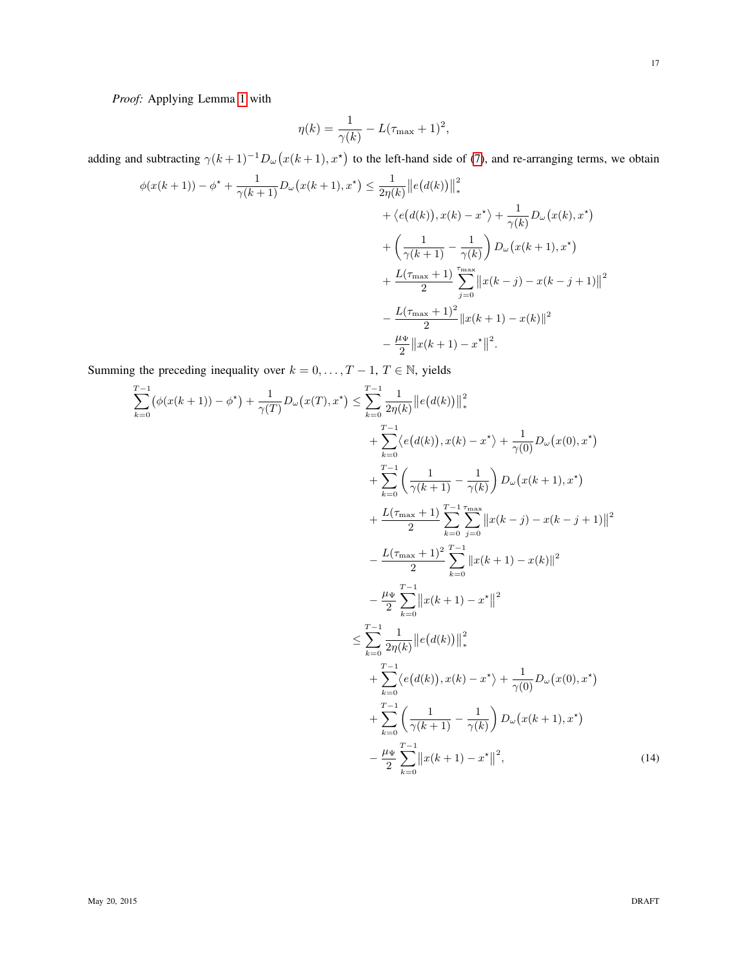*Proof:* Applying Lemma [1](#page-12-2) with

$$
\eta(k) = \frac{1}{\gamma(k)} - L(\tau_{\text{max}} + 1)^2,
$$

adding and subtracting  $\gamma(k+1)^{-1}D_{\omega}(x(k+1),x^*)$  to the left-hand side of [\(7\)](#page-12-3), and re-arranging terms, we obtain

$$
\phi(x(k+1)) - \phi^* + \frac{1}{\gamma(k+1)} D_{\omega} (x(k+1), x^*) \leq \frac{1}{2\eta(k)} ||e(d(k))||_*^2 \n+ \langle e(d(k)), x(k) - x^* \rangle + \frac{1}{\gamma(k)} D_{\omega} (x(k), x^*) \n+ \left(\frac{1}{\gamma(k+1)} - \frac{1}{\gamma(k)}\right) D_{\omega} (x(k+1), x^*) \n+ \frac{L(\tau_{\text{max}} + 1)}{2} \sum_{j=0}^{\text{max}} ||x(k-j) - x(k-j+1)||^2 \n- \frac{L(\tau_{\text{max}} + 1)^2}{2} ||x(k+1) - x(k)||^2 \n- \frac{\mu_{\Psi}}{2} ||x(k+1) - x^*||^2.
$$

Summing the preceding inequality over  $k = 0, ..., T - 1, T \in \mathbb{N}$ , yields

<span id="page-16-0"></span>
$$
\sum_{k=0}^{T-1} (\phi(x(k+1)) - \phi^*) + \frac{1}{\gamma(T)} D_{\omega}(x(T), x^*) \leq \sum_{k=0}^{T-1} \frac{1}{2\eta(k)} ||e(d(k))||_*^2 \n+ \sum_{k=0}^{T-1} \left\langle e(d(k)), x(k) - x^* \right\rangle + \frac{1}{\gamma(0)} D_{\omega}(x(0), x^*) \n+ \frac{T}{\sum_{k=0}^{T-1} \left( \frac{1}{\gamma(k+1)} - \frac{1}{\gamma(k)} \right) D_{\omega}(x(k+1), x^*) \n+ \frac{L(\tau_{\text{max}} + 1)}{2} \sum_{k=0}^{T-1} \sum_{j=0}^{\text{max}} ||x(k-j) - x(k-j+1)||^2 \n- \frac{L(\tau_{\text{max}} + 1)^2}{2} \sum_{k=0}^{T-1} ||x(k+1) - x^*||^2 \n- \frac{\mu \Psi}{2} \sum_{k=0}^{T-1} ||x(k+1) - x^*||^2 \n\leq \sum_{k=0}^{T-1} \frac{1}{2\eta(k)} ||e(d(k))||_*^2 \n+ \sum_{k=0}^{T-1} \left\langle e(d(k)), x(k) - x^* \right\rangle + \frac{1}{\gamma(0)} D_{\omega}(x(0), x^*) \n+ \sum_{k=0}^{T-1} \left( \frac{1}{\gamma(k+1)} - \frac{1}{\gamma(k)} \right) D_{\omega}(x(k+1), x^*) \n- \frac{\mu \Psi}{2} \sum_{k=0}^{T-1} ||x(k+1) - x^*||^2,
$$
\n(14)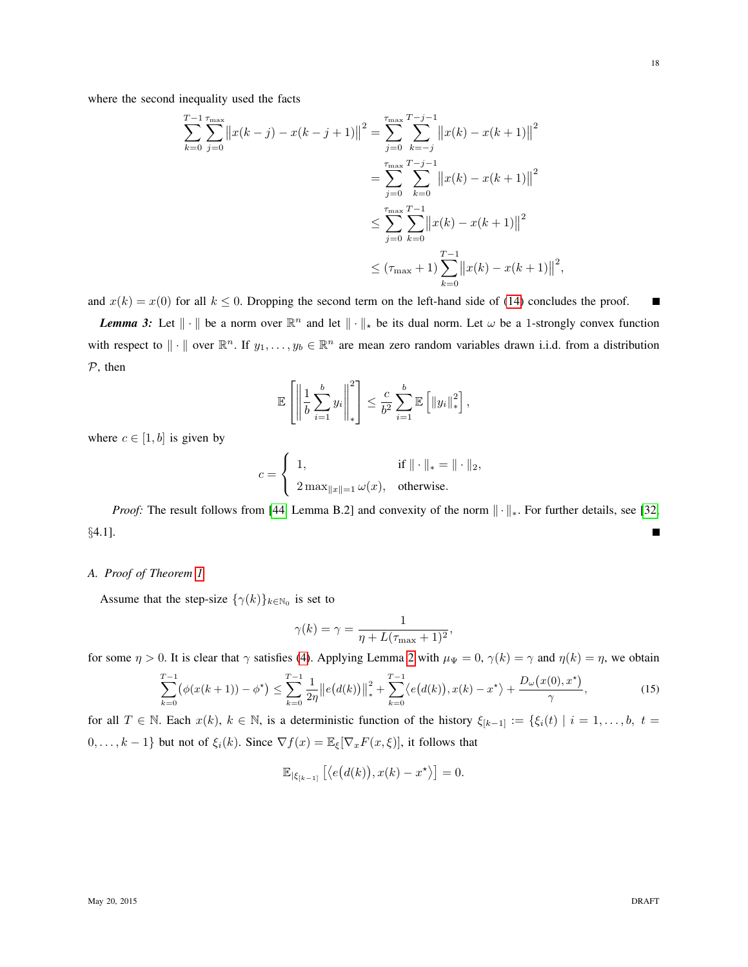where the second inequality used the facts

$$
\sum_{k=0}^{T-1} \sum_{j=0}^{\tau_{\text{max}}} ||x(k-j) - x(k-j+1)||^2 = \sum_{j=0}^{\tau_{\text{max}}} \sum_{k=-j}^{T-j-1} ||x(k) - x(k+1)||^2
$$
  
= 
$$
\sum_{j=0}^{\tau_{\text{max}}} \sum_{k=0}^{T-j-1} ||x(k) - x(k+1)||^2
$$
  

$$
\leq \sum_{j=0}^{\tau_{\text{max}}} \sum_{k=0}^{T-1} ||x(k) - x(k+1)||^2
$$
  

$$
\leq (\tau_{\text{max}} + 1) \sum_{k=0}^{T-1} ||x(k) - x(k+1)||^2,
$$

and  $x(k) = x(0)$  for all  $k \le 0$ . Dropping the second term on the left-hand side of [\(14\)](#page-16-0) concludes the proof. П

<span id="page-17-1"></span>*Lemma 3:* Let  $\|\cdot\|$  be a norm over  $\mathbb{R}^n$  and let  $\|\cdot\|_*$  be its dual norm. Let  $\omega$  be a 1-strongly convex function with respect to  $\|\cdot\|$  over  $\mathbb{R}^n$ . If  $y_1,\ldots,y_b \in \mathbb{R}^n$  are mean zero random variables drawn i.i.d. from a distribution P, then

$$
\mathbb{E}\left[\left\|\frac{1}{b}\sum_{i=1}^b y_i\right\|_{*}^2\right] \leq \frac{c}{b^2}\sum_{i=1}^b \mathbb{E}\left[\left\|y_i\right\|_{*}^2\right],
$$

where  $c \in [1, b]$  is given by

$$
c = \begin{cases} 1, & \text{if } \|\cdot\|_* = \|\cdot\|_2, \\ 2\max_{\|x\|=1} \omega(x), & \text{otherwise.} \end{cases}
$$

*Proof:* The result follows from [\[44,](#page-22-11) Lemma B.2] and convexity of the norm  $\|\cdot\|_*$ . For further details, see [\[32,](#page-22-1) §4.1].

## <span id="page-17-0"></span>*A. Proof of Theorem [1](#page-7-1)*

Assume that the step-size  $\{\gamma(k)\}_{k\in\mathbb{N}_0}$  is set to

<span id="page-17-2"></span>
$$
\gamma(k) = \gamma = \frac{1}{\eta + L(\tau_{\text{max}} + 1)^2},
$$

for some  $\eta > 0$ . It is clear that  $\gamma$  satisfies [\(4\)](#page-7-2). Applying Lemma [2](#page-15-1) with  $\mu_{\Psi} = 0$ ,  $\gamma(k) = \gamma$  and  $\eta(k) = \eta$ , we obtain

$$
\sum_{k=0}^{T-1} \left( \phi(x(k+1)) - \phi^{\star} \right) \le \sum_{k=0}^{T-1} \frac{1}{2\eta} \left\| e(d(k)) \right\|_{*}^{2} + \sum_{k=0}^{T-1} \left\langle e(d(k)), x(k) - x^{\star} \right\rangle + \frac{D_{\omega}(x(0), x^{\star})}{\gamma}, \tag{15}
$$

for all  $T \in \mathbb{N}$ . Each  $x(k)$ ,  $k \in \mathbb{N}$ , is a deterministic function of the history  $\xi_{[k-1]} := \{\xi_i(t) \mid i = 1, \ldots, b, t =$  $0, \ldots, k-1\}$  but not of  $\xi_i(k)$ . Since  $\nabla f(x) = \mathbb{E}_{\xi}[\nabla_x F(x, \xi)]$ , it follows that

$$
\mathbb{E}_{|\xi_{[k-1]}}\left[\langle e(d(k)), x(k) - x^{\star} \rangle\right] = 0.
$$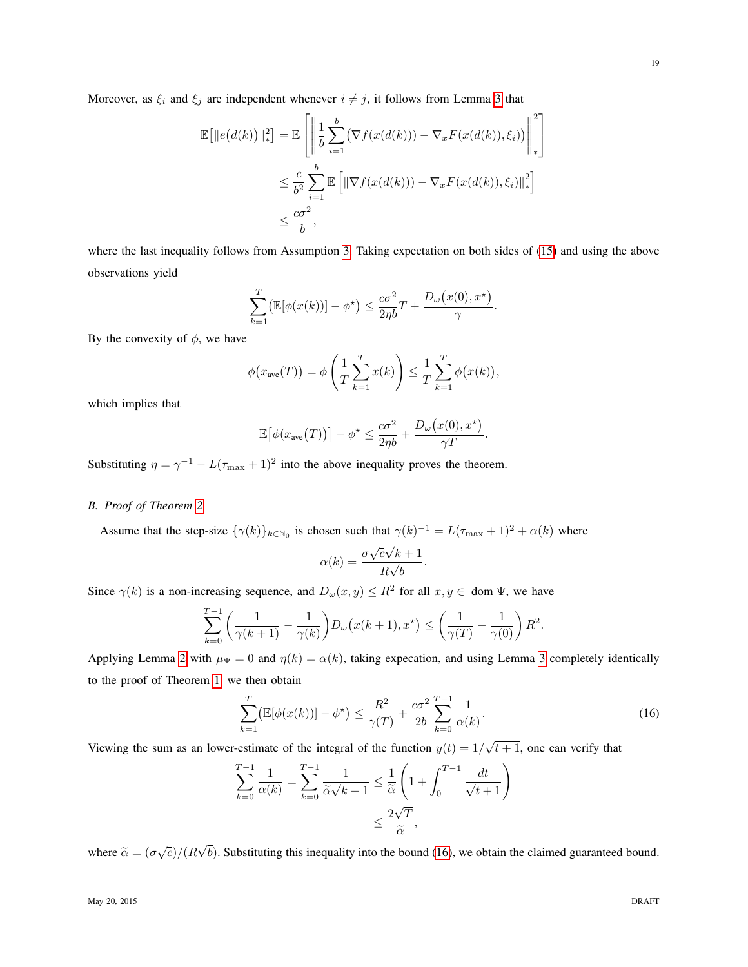Moreover, as  $\xi_i$  and  $\xi_j$  are independent whenever  $i \neq j$ , it follows from Lemma [3](#page-17-1) that

$$
\mathbb{E}\big[\|e\big(d(k)\big)\|_{*}^{2}\big] = \mathbb{E}\left[\left\|\frac{1}{b}\sum_{i=1}^{b}\big(\nabla f(x(d(k))) - \nabla_{x}F(x(d(k)),\xi_{i})\big)\right\|_{*}^{2}\right]
$$
  

$$
\leq \frac{c}{b^{2}}\sum_{i=1}^{b}\mathbb{E}\big[\|\nabla f(x(d(k))) - \nabla_{x}F(x(d(k)),\xi_{i})\|_{*}^{2}\big]
$$
  

$$
\leq \frac{c\sigma^{2}}{b},
$$

where the last inequality follows from Assumption [3.](#page-4-4) Taking expectation on both sides of [\(15\)](#page-17-2) and using the above observations yield

$$
\sum_{k=1}^T \left( \mathbb{E}[\phi(x(k))] - \phi^{\star} \right) \le \frac{c\sigma^2}{2\eta b} T + \frac{D_{\omega}(x(0), x^{\star})}{\gamma}.
$$

By the convexity of  $\phi$ , we have

$$
\phi(x_{\text{ave}}(T)) = \phi\left(\frac{1}{T}\sum_{k=1}^T x(k)\right) \leq \frac{1}{T}\sum_{k=1}^T \phi\big(x(k)\big),
$$

which implies that

$$
\mathbb{E}[\phi(x_{\text{ave}}(T))] - \phi^* \leq \frac{c\sigma^2}{2\eta b} + \frac{D_\omega(x(0), x^*)}{\gamma T}.
$$

Substituting  $\eta = \gamma^{-1} - L(\tau_{\text{max}} + 1)^2$  into the above inequality proves the theorem.

# <span id="page-18-0"></span>*B. Proof of Theorem [2](#page-9-0)*

Assume that the step-size  $\{\gamma(k)\}_{k\in\mathbb{N}_0}$  is chosen such that  $\gamma(k)^{-1} = L(\tau_{\max} + 1)^2 + \alpha(k)$  where

$$
\alpha(k) = \frac{\sigma \sqrt{c\sqrt{k+1}}}{R\sqrt{b}}.
$$

Since  $\gamma(k)$  is a non-increasing sequence, and  $D_{\omega}(x, y) \leq R^2$  for all  $x, y \in \text{dom }\Psi$ , we have

$$
\sum_{k=0}^{T-1} \left( \frac{1}{\gamma(k+1)} - \frac{1}{\gamma(k)} \right) D_{\omega} (x(k+1), x^*) \le \left( \frac{1}{\gamma(T)} - \frac{1}{\gamma(0)} \right) R^2.
$$

Applying Lemma [2](#page-15-1) with  $\mu_{\Psi} = 0$  and  $\eta(k) = \alpha(k)$ , taking expecation, and using Lemma [3](#page-17-1) completely identically to the proof of Theorem [1,](#page-7-1) we then obtain

<span id="page-18-1"></span>
$$
\sum_{k=1}^{T} \left( \mathbb{E}[\phi(x(k))] - \phi^{\star} \right) \le \frac{R^2}{\gamma(T)} + \frac{c\sigma^2}{2b} \sum_{k=0}^{T-1} \frac{1}{\alpha(k)}.
$$
 (16)

Viewing the sum as an lower-estimate of the integral of the function  $y(t) = 1/\sqrt{t+1}$ , one can verify that

$$
\sum_{k=0}^{T-1} \frac{1}{\alpha(k)} = \sum_{k=0}^{T-1} \frac{1}{\widetilde{\alpha}\sqrt{k+1}} \le \frac{1}{\widetilde{\alpha}} \left( 1 + \int_0^{T-1} \frac{dt}{\sqrt{t+1}} \right)
$$

$$
\le \frac{2\sqrt{T}}{\widetilde{\alpha}},
$$

where  $\tilde{\alpha} = (\sigma \sqrt{c})/(R)$ √  $b$ ). Substituting this inequality into the bound [\(16\)](#page-18-1), we obtain the claimed guaranteed bound.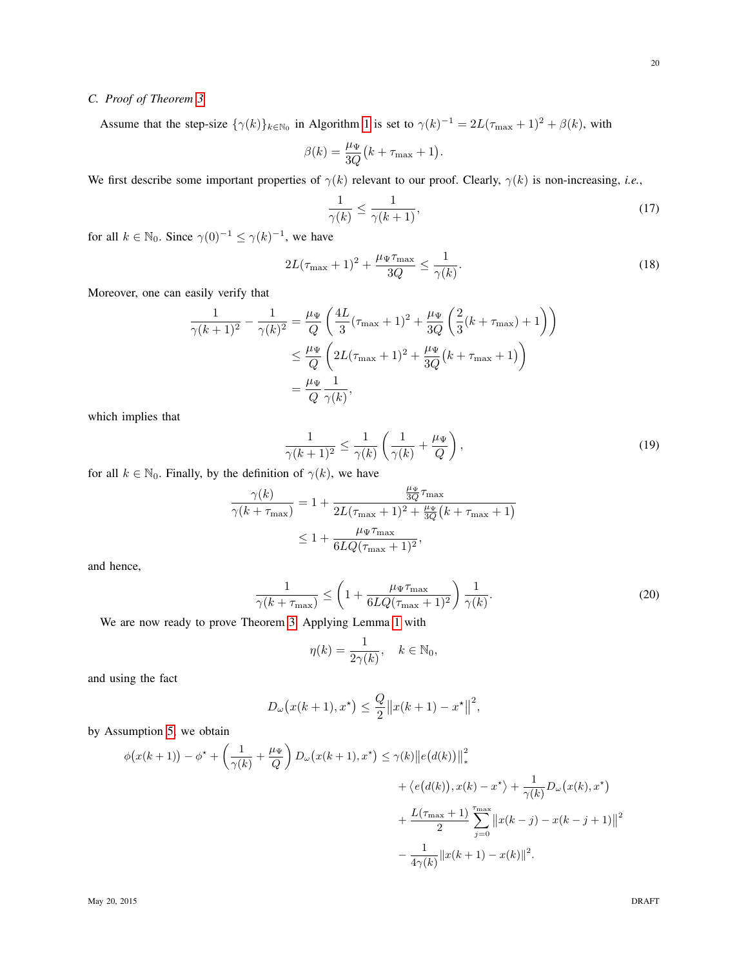# <span id="page-19-0"></span>*C. Proof of Theorem [3](#page-10-1)*

Assume that the step-size  $\{\gamma(k)\}_{k\in\mathbb{N}_0}$  in Algorithm [1](#page-7-0) is set to  $\gamma(k)^{-1} = 2L(\tau_{\max} + 1)^2 + \beta(k)$ , with

$$
\beta(k) = \frac{\mu_{\Psi}}{3Q} (k + \tau_{\text{max}} + 1)
$$

We first describe some important properties of  $\gamma(k)$  relevant to our proof. Clearly,  $\gamma(k)$  is non-increasing, *i.e.*,

$$
\frac{1}{\gamma(k)} \le \frac{1}{\gamma(k+1)},\tag{17}
$$

for all  $k \in \mathbb{N}_0$ . Since  $\gamma(0)^{-1} \leq \gamma(k)^{-1}$ , we have

$$
2L(\tau_{\max} + 1)^2 + \frac{\mu_{\Psi}\tau_{\max}}{3Q} \le \frac{1}{\gamma(k)}.\tag{18}
$$

<span id="page-19-4"></span><span id="page-19-2"></span><span id="page-19-1"></span>.

Moreover, one can easily verify that

$$
\frac{1}{\gamma(k+1)^2} - \frac{1}{\gamma(k)^2} = \frac{\mu_{\Psi}}{Q} \left( \frac{4L}{3} (\tau_{\text{max}} + 1)^2 + \frac{\mu_{\Psi}}{3Q} \left( \frac{2}{3} (k + \tau_{\text{max}}) + 1 \right) \right)
$$
  

$$
\leq \frac{\mu_{\Psi}}{Q} \left( 2L (\tau_{\text{max}} + 1)^2 + \frac{\mu_{\Psi}}{3Q} (k + \tau_{\text{max}} + 1) \right)
$$
  

$$
= \frac{\mu_{\Psi}}{Q} \frac{1}{\gamma(k)},
$$

which implies that

$$
\frac{1}{\gamma(k+1)^2} \le \frac{1}{\gamma(k)} \left( \frac{1}{\gamma(k)} + \frac{\mu \Psi}{Q} \right),\tag{19}
$$

for all  $k \in \mathbb{N}_0$ . Finally, by the definition of  $\gamma(k)$ , we have

$$
\frac{\gamma(k)}{\gamma(k+\tau_{\max})} = 1 + \frac{\frac{\mu_{\Psi}}{3Q}\tau_{\max}}{2L(\tau_{\max}+1)^2 + \frac{\mu_{\Psi}}{3Q}(k+\tau_{\max}+1)}
$$

$$
\leq 1 + \frac{\mu_{\Psi}\tau_{\max}}{6LQ(\tau_{\max}+1)^2},
$$

and hence,

$$
\frac{1}{\gamma(k+\tau_{\text{max}})} \le \left(1 + \frac{\mu_{\Psi}\tau_{\text{max}}}{6LQ(\tau_{\text{max}}+1)^2}\right) \frac{1}{\gamma(k)}.\tag{20}
$$

We are now ready to prove Theorem [3.](#page-10-1) Applying Lemma [1](#page-12-2) with

<span id="page-19-3"></span>
$$
\eta(k) = \frac{1}{2\gamma(k)}, \quad k \in \mathbb{N}_0,
$$

and using the fact

$$
D_{\omega}(x(k+1), x^*) \le \frac{Q}{2} ||x(k+1) - x^*||^2,
$$

by Assumption [5,](#page-10-0) we obtain

$$
\phi(x(k+1)) - \phi^* + \left(\frac{1}{\gamma(k)} + \frac{\mu_{\Psi}}{Q}\right) D_{\omega}\left(x(k+1), x^*\right) \leq \gamma(k) \|e(d(k))\|_*^2
$$
  
+  $\langle e(d(k)), x(k) - x^* \rangle + \frac{1}{\gamma(k)} D_{\omega}\left(x(k), x^*\right)$   
+  $\frac{L(\tau_{\max} + 1)}{2} \sum_{j=0}^{\tau_{\max}} \|x(k-j) - x(k-j+1)\|^2$   
-  $\frac{1}{4\gamma(k)} \|x(k+1) - x(k)\|^2$ .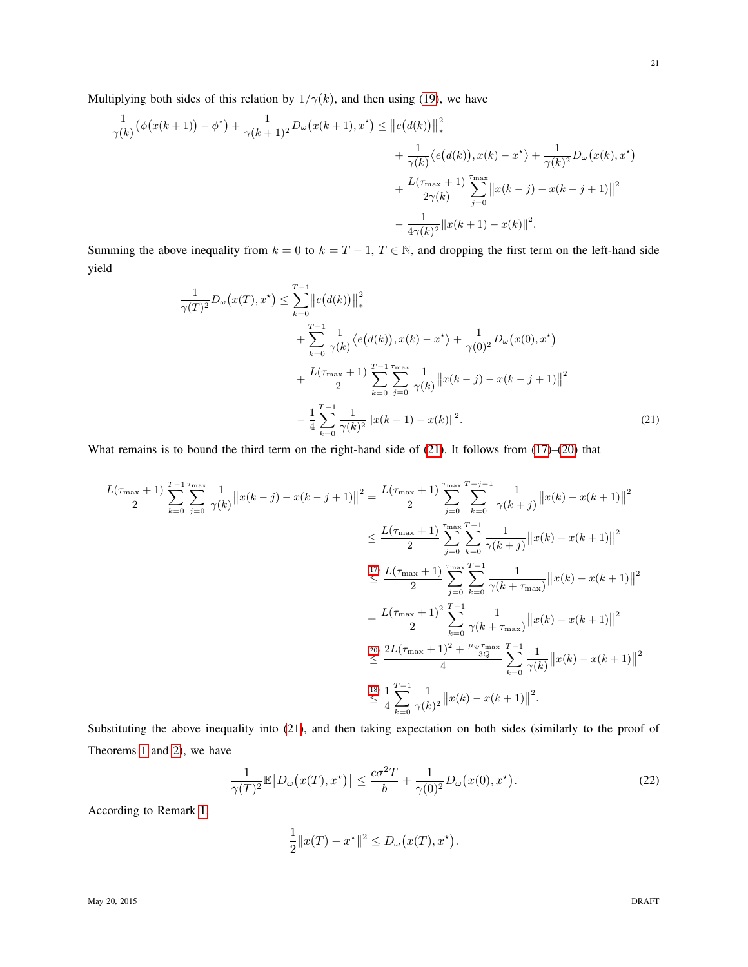Multiplying both sides of this relation by  $1/\gamma(k)$ , and then using [\(19\)](#page-19-1), we have

$$
\frac{1}{\gamma(k)}(\phi(x(k+1)) - \phi^*) + \frac{1}{\gamma(k+1)^2}D_{\omega}(x(k+1), x^*) \le ||e(d(k))||_*^2 + \frac{1}{\gamma(k)}\langle e(d(k)), x(k) - x^* \rangle + \frac{1}{\gamma(k)^2}D_{\omega}(x(k), x^*) + \frac{L(\tau_{\text{max}} + 1)}{2\gamma(k)} \sum_{j=0}^{\tau_{\text{max}}} ||x(k-j) - x(k-j+1)||^2 - \frac{1}{4\gamma(k)^2} ||x(k+1) - x(k)||^2.
$$

Summing the above inequality from  $k = 0$  to  $k = T - 1$ ,  $T \in \mathbb{N}$ , and dropping the first term on the left-hand side yield

<span id="page-20-0"></span>
$$
\frac{1}{\gamma(T)^2} D_{\omega}(x(T), x^*) \leq \sum_{k=0}^{T-1} \|e(d(k))\|_{*}^{2} \n+ \sum_{k=0}^{T-1} \frac{1}{\gamma(k)} \langle e(d(k)), x(k) - x^* \rangle + \frac{1}{\gamma(0)^2} D_{\omega}(x(0), x^*) \n+ \frac{L(\tau_{\text{max}} + 1)}{2} \sum_{k=0}^{T-1} \sum_{j=0}^{\tau_{\text{max}}} \frac{1}{\gamma(k)} \|x(k - j) - x(k - j + 1)\|^{2} \n- \frac{1}{4} \sum_{k=0}^{T-1} \frac{1}{\gamma(k)^2} \|x(k + 1) - x(k)\|^{2}.
$$
\n(21)

What remains is to bound the third term on the right-hand side of [\(21\)](#page-20-0). It follows from [\(17\)](#page-19-2)–[\(20\)](#page-19-3) that

$$
\frac{L(\tau_{\max}+1)}{2} \sum_{k=0}^{T-1} \sum_{j=0}^{\tau_{\max}} \frac{1}{\gamma(k)} \|x(k-j) - x(k-j+1)\|^2 = \frac{L(\tau_{\max}+1)}{2} \sum_{j=0}^{\tau_{\max}} \sum_{k=0}^{T-j-1} \frac{1}{\gamma(k+j)} \|x(k) - x(k+1)\|^2
$$
  

$$
\leq \frac{L(\tau_{\max}+1)}{2} \sum_{j=0}^{\tau_{\max}} \sum_{k=0}^{T-1} \frac{1}{\gamma(k+j)} \|x(k) - x(k+1)\|^2
$$
  

$$
\leq \frac{L(\tau_{\max}+1)}{2} \sum_{j=0}^{\tau_{\max}} \sum_{k=0}^{T-1} \frac{1}{\gamma(k+\tau_{\max})} \|x(k) - x(k+1)\|^2
$$
  

$$
= \frac{L(\tau_{\max}+1)^2}{2} \sum_{k=0}^{T-1} \frac{1}{\gamma(k+\tau_{\max})} \|x(k) - x(k+1)\|^2
$$
  

$$
\leq \frac{2L(\tau_{\max}+1)^2 + \frac{\mu_{\Psi}\tau_{\max}}{3Q}}{4} \sum_{k=0}^{T-1} \frac{1}{\gamma(k)} \|x(k) - x(k+1)\|^2
$$
  

$$
\leq \frac{1}{4} \sum_{k=0}^{T-1} \frac{1}{\gamma(k)^2} \|x(k) - x(k+1)\|^2.
$$

Substituting the above inequality into [\(21\)](#page-20-0), and then taking expectation on both sides (similarly to the proof of Theorems [1](#page-7-1) and [2\)](#page-9-0), we have

$$
\frac{1}{\gamma(T)^2} \mathbb{E}\left[D_\omega\big(x(T), x^\star\big)\right] \le \frac{c\sigma^2 T}{b} + \frac{1}{\gamma(0)^2} D_\omega\big(x(0), x^\star\big). \tag{22}
$$

According to Remark [1,](#page-3-2)

<span id="page-20-1"></span>
$$
\frac{1}{2}||x(T) - x^*||^2 \le D_\omega(x(T), x^*).
$$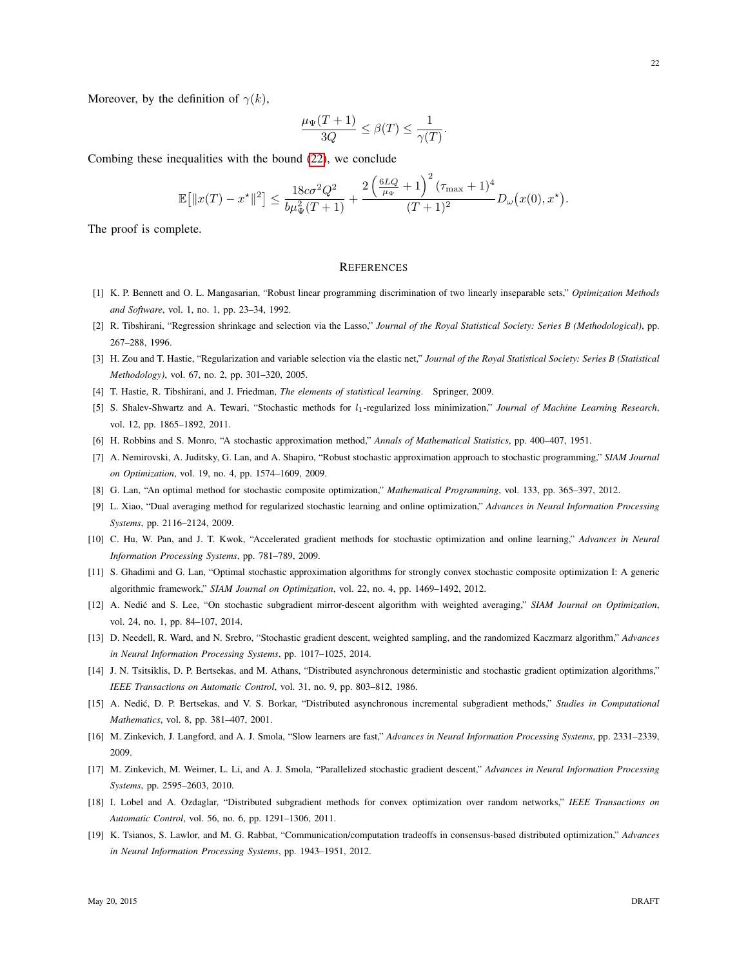Moreover, by the definition of  $\gamma(k)$ ,

$$
\frac{\mu_{\Psi}(T+1)}{3Q} \le \beta(T) \le \frac{1}{\gamma(T)}
$$

.

Combing these inequalities with the bound [\(22\)](#page-20-1), we conclude

$$
\mathbb{E}\big[\|x(T)-x^\star\|^2\big] \le \frac{18c\sigma^2Q^2}{b\mu_\Psi^2(T+1)} + \frac{2\left(\frac{6LQ}{\mu_\Psi}+1\right)^2(\tau_{\max}+1)^4}{(T+1)^2}D_\omega\big(x(0),x^\star\big).
$$

The proof is complete.

## **REFERENCES**

- <span id="page-21-0"></span>[1] K. P. Bennett and O. L. Mangasarian, "Robust linear programming discrimination of two linearly inseparable sets," *Optimization Methods and Software*, vol. 1, no. 1, pp. 23–34, 1992.
- <span id="page-21-8"></span>[2] R. Tibshirani, "Regression shrinkage and selection via the Lasso," *Journal of the Royal Statistical Society: Series B (Methodological)*, pp. 267–288, 1996.
- [3] H. Zou and T. Hastie, "Regularization and variable selection via the elastic net," *Journal of the Royal Statistical Society: Series B (Statistical Methodology)*, vol. 67, no. 2, pp. 301–320, 2005.
- <span id="page-21-9"></span>[4] T. Hastie, R. Tibshirani, and J. Friedman, *The elements of statistical learning*. Springer, 2009.
- <span id="page-21-1"></span>[5] S. Shalev-Shwartz and A. Tewari, "Stochastic methods for  $l_1$ -regularized loss minimization," *Journal of Machine Learning Research*, vol. 12, pp. 1865–1892, 2011.
- <span id="page-21-2"></span>[6] H. Robbins and S. Monro, "A stochastic approximation method," *Annals of Mathematical Statistics*, pp. 400–407, 1951.
- <span id="page-21-3"></span>[7] A. Nemirovski, A. Juditsky, G. Lan, and A. Shapiro, "Robust stochastic approximation approach to stochastic programming," *SIAM Journal on Optimization*, vol. 19, no. 4, pp. 1574–1609, 2009.
- <span id="page-21-5"></span>[8] G. Lan, "An optimal method for stochastic composite optimization," *Mathematical Programming*, vol. 133, pp. 365–397, 2012.
- <span id="page-21-6"></span>[9] L. Xiao, "Dual averaging method for regularized stochastic learning and online optimization," *Advances in Neural Information Processing Systems*, pp. 2116–2124, 2009.
- [10] C. Hu, W. Pan, and J. T. Kwok, "Accelerated gradient methods for stochastic optimization and online learning," *Advances in Neural Information Processing Systems*, pp. 781–789, 2009.
- [11] S. Ghadimi and G. Lan, "Optimal stochastic approximation algorithms for strongly convex stochastic composite optimization I: A generic algorithmic framework," *SIAM Journal on Optimization*, vol. 22, no. 4, pp. 1469–1492, 2012.
- <span id="page-21-10"></span>[12] A. Nedić and S. Lee, "On stochastic subgradient mirror-descent algorithm with weighted averaging," SIAM Journal on Optimization, vol. 24, no. 1, pp. 84–107, 2014.
- <span id="page-21-4"></span>[13] D. Needell, R. Ward, and N. Srebro, "Stochastic gradient descent, weighted sampling, and the randomized Kaczmarz algorithm," *Advances in Neural Information Processing Systems*, pp. 1017–1025, 2014.
- <span id="page-21-7"></span>[14] J. N. Tsitsiklis, D. P. Bertsekas, and M. Athans, "Distributed asynchronous deterministic and stochastic gradient optimization algorithms," *IEEE Transactions on Automatic Control*, vol. 31, no. 9, pp. 803–812, 1986.
- [15] A. Nedić, D. P. Bertsekas, and V. S. Borkar, "Distributed asynchronous incremental subgradient methods," Studies in Computational *Mathematics*, vol. 8, pp. 381–407, 2001.
- [16] M. Zinkevich, J. Langford, and A. J. Smola, "Slow learners are fast," *Advances in Neural Information Processing Systems*, pp. 2331–2339, 2009.
- [17] M. Zinkevich, M. Weimer, L. Li, and A. J. Smola, "Parallelized stochastic gradient descent," *Advances in Neural Information Processing Systems*, pp. 2595–2603, 2010.
- [18] I. Lobel and A. Ozdaglar, "Distributed subgradient methods for convex optimization over random networks," *IEEE Transactions on Automatic Control*, vol. 56, no. 6, pp. 1291–1306, 2011.
- [19] K. Tsianos, S. Lawlor, and M. G. Rabbat, "Communication/computation tradeoffs in consensus-based distributed optimization," *Advances in Neural Information Processing Systems*, pp. 1943–1951, 2012.